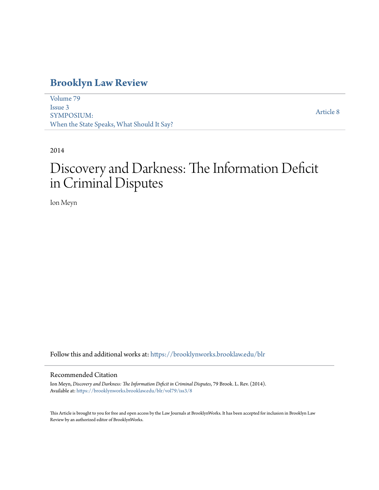# **[Brooklyn Law Review](https://brooklynworks.brooklaw.edu/blr?utm_source=brooklynworks.brooklaw.edu%2Fblr%2Fvol79%2Fiss3%2F8&utm_medium=PDF&utm_campaign=PDFCoverPages)**

[Volume 79](https://brooklynworks.brooklaw.edu/blr/vol79?utm_source=brooklynworks.brooklaw.edu%2Fblr%2Fvol79%2Fiss3%2F8&utm_medium=PDF&utm_campaign=PDFCoverPages) [Issue 3](https://brooklynworks.brooklaw.edu/blr/vol79/iss3?utm_source=brooklynworks.brooklaw.edu%2Fblr%2Fvol79%2Fiss3%2F8&utm_medium=PDF&utm_campaign=PDFCoverPages) SYMPOSIUM: When the State Speaks, What Should It Say?

[Article 8](https://brooklynworks.brooklaw.edu/blr/vol79/iss3/8?utm_source=brooklynworks.brooklaw.edu%2Fblr%2Fvol79%2Fiss3%2F8&utm_medium=PDF&utm_campaign=PDFCoverPages)

2014

# Discovery and Darkness: The Information Deficit in Criminal Disputes

Ion Meyn

Follow this and additional works at: [https://brooklynworks.brooklaw.edu/blr](https://brooklynworks.brooklaw.edu/blr?utm_source=brooklynworks.brooklaw.edu%2Fblr%2Fvol79%2Fiss3%2F8&utm_medium=PDF&utm_campaign=PDFCoverPages)

#### Recommended Citation

Ion Meyn, *Discovery and Darkness: The Information Deficit in Criminal Disputes*, 79 Brook. L. Rev. (2014). Available at: [https://brooklynworks.brooklaw.edu/blr/vol79/iss3/8](https://brooklynworks.brooklaw.edu/blr/vol79/iss3/8?utm_source=brooklynworks.brooklaw.edu%2Fblr%2Fvol79%2Fiss3%2F8&utm_medium=PDF&utm_campaign=PDFCoverPages)

This Article is brought to you for free and open access by the Law Journals at BrooklynWorks. It has been accepted for inclusion in Brooklyn Law Review by an authorized editor of BrooklynWorks.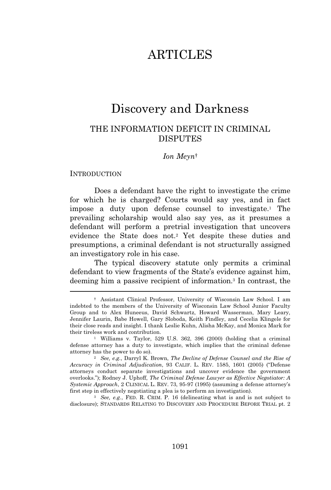# ARTICLES

# Discovery and Darkness

# THE INFORMATION DEFICIT IN CRIMINAL **DISPUTES**

#### *Ion Meyn*†

#### **INTRODUCTION**

Does a defendant have the right to investigate the crime for which he is charged? Courts would say yes, and in fact impose a duty upon defense counsel to investigate.<sup>1</sup> The prevailing scholarship would also say yes, as it presumes a defendant will perform a pretrial investigation that uncovers evidence the State does not.<sup>2</sup> Yet despite these duties and presumptions, a criminal defendant is not structurally assigned an investigatory role in his case.

The typical discovery statute only permits a criminal defendant to view fragments of the State's evidence against him, deeming him a passive recipient of information.<sup>3</sup> In contrast, the

<sup>3</sup> *See, e.g.*, FED. R. CRIM. P. 16 (delineating what is and is not subject to disclosure); STANDARDS RELATING TO DISCOVERY AND PROCEDURE BEFORE TRIAL pt. 2

<sup>†</sup> Assistant Clinical Professor, University of Wisconsin Law School. I am indebted to the members of the University of Wisconsin Law School Junior Faculty Group and to Alex Huneeus, David Schwartz, Howard Wasserman, Mary Leary, Jennifer Laurin, Babe Howell, Gary Sloboda, Keith Findley, and Cecelia Klingele for their close reads and insight. I thank Leslie Kuhn, Alisha McKay, and Monica Mark for their tireless work and contribution.

<sup>1</sup> Williams v. Taylor, 529 U.S. 362, 396 (2000) (holding that a criminal defense attorney has a duty to investigate, which implies that the criminal defense attorney has the power to do so).

<sup>2</sup> *See, e.g.*, Darryl K. Brown, *The Decline of Defense Counsel and the Rise of Accuracy in Criminal Adjudication*, 93 CALIF. L. REV. 1585, 1601 (2005) ("Defense attorneys conduct separate investigations and uncover evidence the government overlooks."); Rodney J. Uphoff, *The Criminal Defense Lawyer as Effective Negotiator: A Systemic Approach*, 2 CLINICAL L. REV. 73, 95-97 (1995) (assuming a defense attorney's first step in effectively negotiating a plea is to perform an investigation).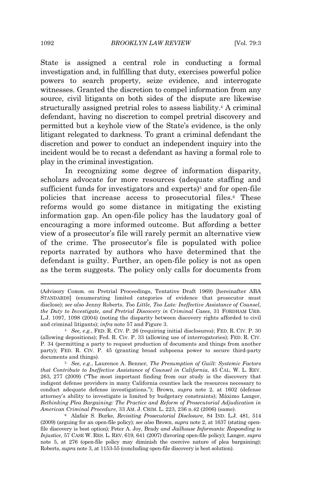State is assigned a central role in conducting a formal investigation and, in fulfilling that duty, exercises powerful police powers to search property, seize evidence, and interrogate witnesses. Granted the discretion to compel information from any source, civil litigants on both sides of the dispute are likewise structurally assigned pretrial roles to assess liability.<sup>4</sup> A criminal defendant, having no discretion to compel pretrial discovery and permitted but a keyhole view of the State's evidence, is the only litigant relegated to darkness. To grant a criminal defendant the discretion and power to conduct an independent inquiry into the incident would be to recast a defendant as having a formal role to play in the criminal investigation.

In recognizing some degree of information disparity, scholars advocate for more resources (adequate staffing and sufficient funds for investigators and experts) $5$  and for open-file policies that increase access to prosecutorial files.<sup>6</sup> These reforms would go some distance in mitigating the existing information gap. An open-file policy has the laudatory goal of encouraging a more informed outcome. But affording a better view of a prosecutor's file will rarely permit an alternative view of the crime. The prosecutor's file is populated with police reports narrated by authors who have determined that the defendant is guilty. Further, an open-file policy is not as open as the term suggests. The policy only calls for documents from

<sup>(</sup>Advisory Comm. on Pretrial Proceedings, Tentative Draft 1969) [hereinafter ABA STANDARDS] (enumerating limited categories of evidence that prosecutor must disclose); *see also* Jenny Roberts, *Too Little, Too Late: Ineffective Assistance of Counsel, the Duty to Investigate, and Pretrial Discovery in Criminal Cases*, 31 FORDHAM URB. L.J. 1097, 1098 (2004) (noting the disparity between discovery rights afforded to civil and criminal litigants); *infra* note 57 and Figure 3.

<sup>4</sup> *See, e.g.*, FED. R. CIV. P. 26 (requiring initial disclosures); FED. R. CIV. P. 30 (allowing depositions); Fed. R. Civ. P. 33 (allowing use of interrogatories); FED. R. CIV. P. 34 (permitting a party to request production of documents and things from another party); FED. R. CIV. P. 45 (granting broad subpoena power to secure third-party documents and things).

<sup>5</sup> *See, e.g.*, Laurence A. Benner, *The Presumption of Guilt: Systemic Factors that Contribute to Ineffective Assistance of Counsel in California*, 45 CAL. W. L. REV. 263, 277 (2009) ("The most important finding from our study is the discovery that indigent defense providers in many California counties lack the resources necessary to conduct adequate defense investigations."); Brown, *supra* note 2, at 1602 (defense attorney's ability to investigate is limited by budgetary constraints); Máximo Langer, *Rethinking Plea Bargaining: The Practice and Reform of Prosecutorial Adjudication in American Criminal Procedure*, 33 AM. J. CRIM. L. 223, 236 n.42 (2006) (same).

<sup>6</sup> Alafair S. Burke, *Revisiting Prosecutorial Disclosure,* 84 IND. L.J. 481, 514 (2009) (arguing for an open-file policy); *see also* Brown, *supra* note 2, at 1637 (stating openfile discovery is best option); Peter A. Joy, Brady *and Jailhouse Informants: Responding to Injustice*, 57 CASE W. RES. L. REV. 619, 641 (2007) (favoring open-file policy); Langer, *supra* note 5, at 276 (open-file policy may diminish the coercive nature of plea bargaining); Roberts, *supra* note 3, at 1153-55 (concluding open-file discovery is best solution).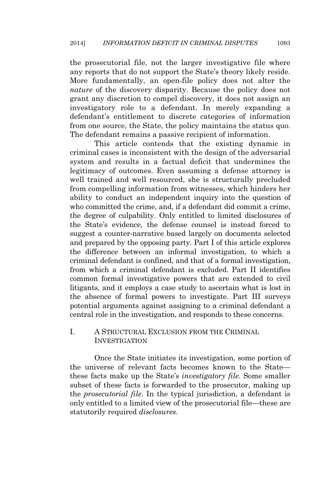the prosecutorial file, not the larger investigative file where any reports that do not support the State's theory likely reside. More fundamentally, an open-file policy does not alter the *nature* of the discovery disparity. Because the policy does not grant any discretion to compel discovery, it does not assign an investigatory role to a defendant. In merely expanding a defendant's entitlement to discrete categories of information from one source, the State, the policy maintains the status quo. The defendant remains a passive recipient of information.

This article contends that the existing dynamic in criminal cases is inconsistent with the design of the adversarial system and results in a factual deficit that undermines the legitimacy of outcomes. Even assuming a defense attorney is well trained and well resourced, she is structurally precluded from compelling information from witnesses, which hinders her ability to conduct an independent inquiry into the question of who committed the crime, and, if a defendant did commit a crime, the degree of culpability. Only entitled to limited disclosures of the State's evidence, the defense counsel is instead forced to suggest a counter-narrative based largely on documents selected and prepared by the opposing party. Part I of this article explores the difference between an informal investigation, to which a criminal defendant is confined, and that of a formal investigation, from which a criminal defendant is excluded. Part II identifies common formal investigative powers that are extended to civil litigants, and it employs a case study to ascertain what is lost in the absence of formal powers to investigate. Part III surveys potential arguments against assigning to a criminal defendant a central role in the investigation, and responds to these concerns.

### I. A STRUCTURAL EXCLUSION FROM THE CRIMINAL **INVESTIGATION**

Once the State initiates its investigation, some portion of the universe of relevant facts becomes known to the State these facts make up the State's *investigatory file*. Some smaller subset of these facts is forwarded to the prosecutor, making up the *prosecutorial file*. In the typical jurisdiction, a defendant is only entitled to a limited view of the prosecutorial file—these are statutorily required *disclosures*.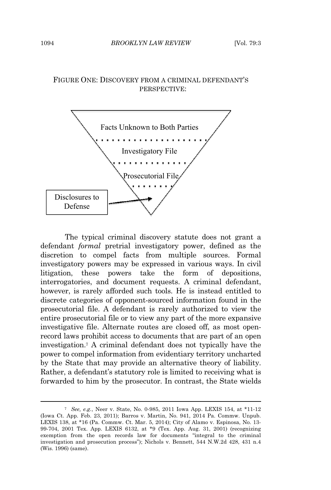# FIGURE ONE: DISCOVERY FROM A CRIMINAL DEFENDANT'<sup>S</sup> PERSPECTIVE:



The typical criminal discovery statute does not grant a defendant *formal* pretrial investigatory power, defined as the discretion to compel facts from multiple sources. Formal investigatory powers may be expressed in various ways. In civil litigation, these powers take the form of depositions, interrogatories, and document requests. A criminal defendant, however, is rarely afforded such tools. He is instead entitled to discrete categories of opponent-sourced information found in the prosecutorial file. A defendant is rarely authorized to view the entire prosecutorial file or to view any part of the more expansive investigative file. Alternate routes are closed off, as most openrecord laws prohibit access to documents that are part of an open investigation.<sup>7</sup> A criminal defendant does not typically have the power to compel information from evidentiary territory uncharted by the State that may provide an alternative theory of liability. Rather, a defendant's statutory role is limited to receiving what is forwarded to him by the prosecutor. In contrast, the State wields

<sup>7</sup> *See, e.g.*, Neer v. State, No. 0-985, 2011 Iowa App. LEXIS 154, at \*11-12 (Iowa Ct. App. Feb. 23, 2011); Barros v. Martin, No. 941, 2014 Pa. Commw. Unpub. LEXIS 138, at \*16 (Pa. Commw. Ct. Mar. 5, 2014); City of Alamo v. Espinosa, No. 13- 99-704, 2001 Tex. App. LEXIS 6132, at \*9 (Tex. App. Aug. 31, 2001) (recognizing exemption from the open records law for documents "integral to the criminal investigation and prosecution process"); Nichols v. Bennett, 544 N.W.2d 428, 431 n.4 (Wis. 1996) (same).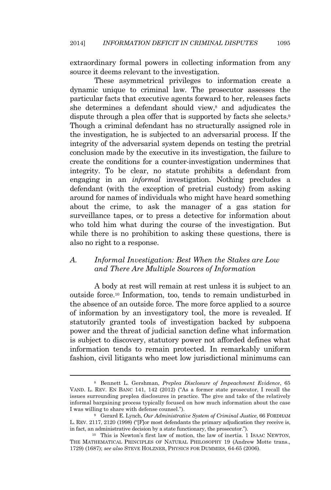extraordinary formal powers in collecting information from any source it deems relevant to the investigation.

These asymmetrical privileges to information create a dynamic unique to criminal law. The prosecutor assesses the particular facts that executive agents forward to her, releases facts she determines a defendant should view,<sup>8</sup> and adjudicates the dispute through a plea offer that is supported by facts she selects.<sup>9</sup> Though a criminal defendant has no structurally assigned role in the investigation, he is subjected to an adversarial process. If the integrity of the adversarial system depends on testing the pretrial conclusion made by the executive in its investigation, the failure to create the conditions for a counter-investigation undermines that integrity. To be clear, no statute prohibits a defendant from engaging in an *informal* investigation. Nothing precludes a defendant (with the exception of pretrial custody) from asking around for names of individuals who might have heard something about the crime, to ask the manager of a gas station for surveillance tapes, or to press a detective for information about who told him what during the course of the investigation. But while there is no prohibition to asking these questions, there is also no right to a response.

### *A. Informal Investigation: Best When the Stakes are Low and There Are Multiple Sources of Information*

A body at rest will remain at rest unless it is subject to an outside force.<sup>10</sup> Information, too, tends to remain undisturbed in the absence of an outside force. The more force applied to a source of information by an investigatory tool, the more is revealed. If statutorily granted tools of investigation backed by subpoena power and the threat of judicial sanction define what information is subject to discovery, statutory power not afforded defines what information tends to remain protected. In remarkably uniform fashion, civil litigants who meet low jurisdictional minimums can

<sup>8</sup> Bennett L. Gershman, *Preplea Disclosure of Impeachment Evidence*, 65 VAND. L. REV. E<sup>N</sup> BANC 141, 142 (2012) ("As a former state prosecutor, I recall the issues surrounding preplea disclosures in practice. The give and take of the relatively informal bargaining process typically focused on how much information about the case I was willing to share with defense counsel.").

<sup>9</sup> Gerard E. Lynch, *Our Administrative System of Criminal Justice*, 66 FORDHAM L. REV. 2117, 2120 (1998) ("[F]or most defendants the primary adjudication they receive is, in fact, an administrative decision by a state functionary, the prosecutor.").

<sup>10</sup> This is Newton's first law of motion, the law of inertia. 1 ISAAC NEWTON, THE MATHEMATICAL PRINCIPLES OF NATURAL PHILOSOPHY 19 (Andrew Motte trans., 1729) (1687); *see also* STEVE HOLZNER, PHYSICS FOR DUMMIES*,* 64-65 (2006).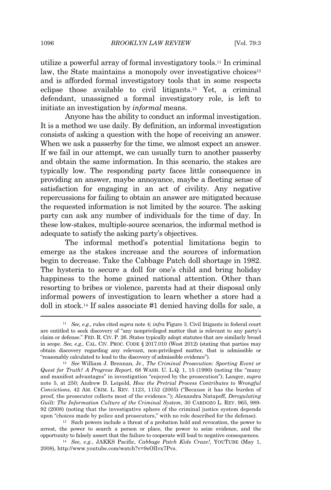utilize a powerful array of formal investigatory tools.<sup>11</sup> In criminal law, the State maintains a monopoly over investigative choices<sup>12</sup> and is afforded formal investigatory tools that in some respects eclipse those available to civil litigants.<sup>13</sup> Yet, a criminal defendant, unassigned a formal investigatory role, is left to initiate an investigation by *informal* means.

Anyone has the ability to conduct an informal investigation. It is a method we use daily. By definition, an informal investigation consists of asking a question with the hope of receiving an answer. When we ask a passerby for the time, we almost expect an answer. If we fail in our attempt, we can usually turn to another passerby and obtain the same information. In this scenario, the stakes are typically low. The responding party faces little consequence in providing an answer, maybe annoyance, maybe a fleeting sense of satisfaction for engaging in an act of civility. Any negative repercussions for failing to obtain an answer are mitigated because the requested information is not limited by the source. The asking party can ask any number of individuals for the time of day. In these low-stakes, multiple-source scenarios, the informal method is adequate to satisfy the asking party's objectives.

The informal method's potential limitations begin to emerge as the stakes increase and the sources of information begin to decrease. Take the Cabbage Patch doll shortage in 1982. The hysteria to secure a doll for one's child and bring holiday happiness to the home gained national attention. Other than resorting to bribes or violence, parents had at their disposal only informal powers of investigation to learn whether a store had a doll in stock.<sup>14</sup> If sales associate #1 denied having dolls for sale, a

<sup>13</sup> Such powers include a threat of a probation hold and revocation, the power to arrest, the power to search a person or place, the power to seize evidence, and the opportunity to falsely assert that the failure to cooperate will lead to negative consequences.

<sup>14</sup> *See, e.g.*, JAKKS Pacific, *Cabbage Patch Kids Craze!*, YOUTUBE (May 1, 2008), http://www.youtube.com/watch?v=9sOlIvx7Pvs.

<sup>11</sup> *See, e.g.*, rules cited *supra* note 4; *infra* Figure 3. Civil litigants in federal court are entitled to seek discovery of "any nonprivileged matter that is relevant to any party's claim or defense." FED. R. CIV. P. 26. States typically adopt statutes that are similarly broad in scope. *See, e.g*., CAL. CIV. PROC. CODE § 2017.010 (West 2012) (stating that parties may obtain discovery regarding any relevant, non-privileged matter, that is admissible or "reasonably calculated to lead to the discovery of admissible evidence").

<sup>12</sup> *See* William J. Brennan, Jr., *The Criminal Prosecution: Sporting Event or Quest for Truth? A Progress Report*, 68 WASH. U. L.Q. 1, 15 (1990) (noting the "many and manifest advantages" in investigation "enjoyed by the prosecution"); Langer, *supra* note 5, at 250; Andrew D. Leipold, *How the Pretrial Process Contributes to Wrongful Convictions*, 42 AM. CRIM. L. REV. 1123, 1152 (2005) ("Because it has the burden of proof, the prosecutor collects most of the evidence."); Alexandra Natapoff, *Deregulating Guilt: The Information Culture of the Criminal System*, 30 CARDOZO L. REV. 965, 989- 92 (2008) (noting that the investigative sphere of the criminal justice system depends upon "choices made by police and prosecutors," with no role described for the defense).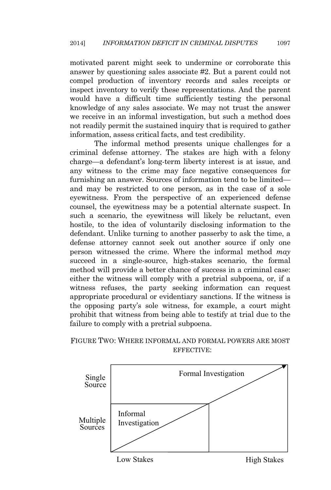motivated parent might seek to undermine or corroborate this answer by questioning sales associate #2. But a parent could not compel production of inventory records and sales receipts or inspect inventory to verify these representations. And the parent would have a difficult time sufficiently testing the personal knowledge of any sales associate. We may not trust the answer we receive in an informal investigation, but such a method does not readily permit the sustained inquiry that is required to gather information, assess critical facts, and test credibility.

The informal method presents unique challenges for a criminal defense attorney. The stakes are high with a felony charge—a defendant's long-term liberty interest is at issue, and any witness to the crime may face negative consequences for furnishing an answer. Sources of information tend to be limited and may be restricted to one person, as in the case of a sole eyewitness. From the perspective of an experienced defense counsel, the eyewitness may be a potential alternate suspect. In such a scenario, the eyewitness will likely be reluctant, even hostile, to the idea of voluntarily disclosing information to the defendant. Unlike turning to another passerby to ask the time, a defense attorney cannot seek out another source if only one person witnessed the crime. Where the informal method *may* succeed in a single-source, high-stakes scenario, the formal method will provide a better chance of success in a criminal case: either the witness will comply with a pretrial subpoena, or, if a witness refuses, the party seeking information can request appropriate procedural or evidentiary sanctions. If the witness is the opposing party's sole witness, for example, a court might prohibit that witness from being able to testify at trial due to the failure to comply with a pretrial subpoena.

### FIGURE TWO: WHERE INFORMAL AND FORMAL POWERS ARE MOST EFFECTIVE:

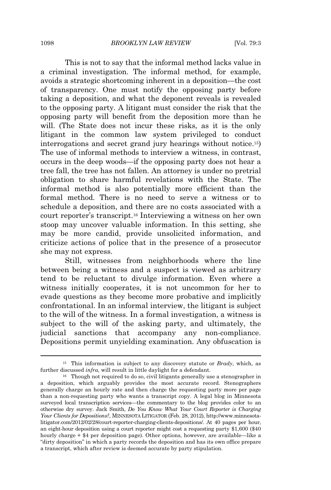This is not to say that the informal method lacks value in a criminal investigation. The informal method, for example, avoids a strategic shortcoming inherent in a deposition—the cost of transparency. One must notify the opposing party before taking a deposition, and what the deponent reveals is revealed to the opposing party. A litigant must consider the risk that the opposing party will benefit from the deposition more than he will. (The State does not incur these risks, as it is the only litigant in the common law system privileged to conduct interrogations and secret grand jury hearings without notice.15) The use of informal methods to interview a witness, in contrast, occurs in the deep woods—if the opposing party does not hear a tree fall, the tree has not fallen. An attorney is under no pretrial obligation to share harmful revelations with the State. The informal method is also potentially more efficient than the formal method. There is no need to serve a witness or to schedule a deposition, and there are no costs associated with a court reporter's transcript.<sup>16</sup> Interviewing a witness on her own stoop may uncover valuable information. In this setting, she may be more candid, provide unsolicited information, and criticize actions of police that in the presence of a prosecutor she may not express.

Still, witnesses from neighborhoods where the line between being a witness and a suspect is viewed as arbitrary tend to be reluctant to divulge information. Even where a witness initially cooperates, it is not uncommon for her to evade questions as they become more probative and implicitly confrontational. In an informal interview, the litigant is subject to the will of the witness. In a formal investigation, a witness is subject to the will of the asking party, and ultimately, the judicial sanctions that accompany any non-compliance. Depositions permit unyielding examination. Any obfuscation is

<sup>15</sup> This information is subject to any discovery statute or *Brady*, which, as further discussed *infra*, will result in little daylight for a defendant.

<sup>&</sup>lt;sup>16</sup> Though not required to do so, civil litigants generally use a stenographer in a deposition, which arguably provides the most accurate record. Stenographers generally charge an hourly rate and then charge the requesting party more per page than a non-requesting party who wants a transcript copy. A legal blog in Minnesota surveyed local transcription services—the commentary to the blog provides color to an otherwise dry survey. Jack Smith, *Do You Know What Your Court Reporter is Charging Your Clients for Depositions?*, MINNESOTA LITIGATOR (Feb. 28, 2012), http://www.minnesotalitigator.com/2012/02/28/court-reporter-charging-clients-depositions/. At 40 pages per hour, an eight-hour deposition using a court reporter might cost a requesting party \$1,600 (\$40 hourly charge + \$4 per deposition page). Other options, however, are available—like a "dirty deposition" in which a party records the deposition and has its own office prepare a transcript, which after review is deemed accurate by party stipulation.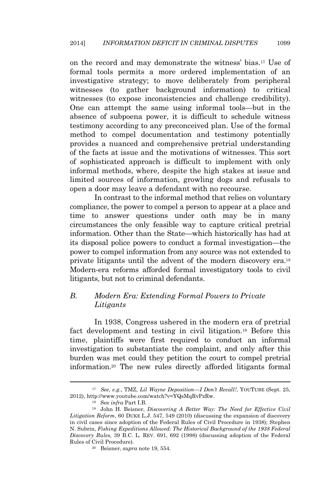on the record and may demonstrate the witness' bias.<sup>17</sup> Use of formal tools permits a more ordered implementation of an investigative strategy; to move deliberately from peripheral witnesses (to gather background information) to critical witnesses (to expose inconsistencies and challenge credibility). One can attempt the same using informal tools—but in the absence of subpoena power, it is difficult to schedule witness testimony according to any preconceived plan. Use of the formal method to compel documentation and testimony potentially provides a nuanced and comprehensive pretrial understanding of the facts at issue and the motivations of witnesses. This sort of sophisticated approach is difficult to implement with only informal methods, where, despite the high stakes at issue and limited sources of information, growling dogs and refusals to open a door may leave a defendant with no recourse.

In contrast to the informal method that relies on voluntary compliance, the power to compel a person to appear at a place and time to answer questions under oath may be in many circumstances the only feasible way to capture critical pretrial information. Other than the State—which historically has had at its disposal police powers to conduct a formal investigation—the power to compel information from any source was not extended to private litigants until the advent of the modern discovery era.<sup>18</sup> Modern-era reforms afforded formal investigatory tools to civil litigants, but not to criminal defendants.

# *B. Modern Era: Extending Formal Powers to Private Litigants*

In 1938, Congress ushered in the modern era of pretrial fact development and testing in civil litigation.<sup>19</sup> Before this time, plaintiffs were first required to conduct an informal investigation to substantiate the complaint, and only after this burden was met could they petition the court to compel pretrial information.<sup>20</sup> The new rules directly afforded litigants formal

<sup>17</sup> *See, e.g*., TMZ, *Lil Wayne Deposition—I Don't Recall!*, YOUTUBE (Sept. 25, 2012), http://www.youtube.com/watch?v=YQsMqRvPzRw.

<sup>18</sup> See *infra* Part I.B.

<sup>19</sup> John H. Beisner, *Discovering A Better Way: The Need for Effective Civil Litigation Reform*, 60 DUKE L.J. 547, 549 (2010) (discussing the expansion of discovery in civil cases since adoption of the Federal Rules of Civil Procedure in 1938); Stephen N. Subrin, *Fishing Expeditions Allowed: The Historical Background of the 1938 Federal Discovery Rules*, 39 B.C. L. REV. 691, 692 (1998) (discussing adoption of the Federal Rules of Civil Procedure).

<sup>20</sup> Beisner, *supra* note 19, 554.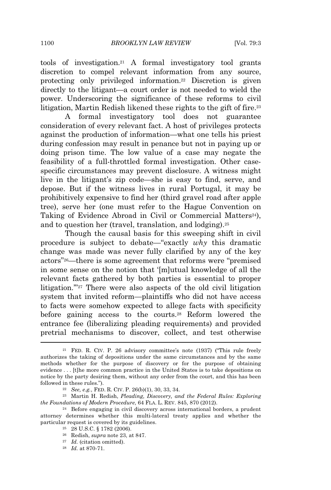tools of investigation.<sup>21</sup> A formal investigatory tool grants discretion to compel relevant information from any source, protecting only privileged information.<sup>22</sup> Discretion is given directly to the litigant—a court order is not needed to wield the power. Underscoring the significance of these reforms to civil litigation, Martin Redish likened these rights to the gift of fire.<sup>23</sup>

A formal investigatory tool does not guarantee consideration of every relevant fact. A host of privileges protects against the production of information—what one tells his priest during confession may result in penance but not in paying up or doing prison time. The low value of a case may negate the feasibility of a full-throttled formal investigation. Other casespecific circumstances may prevent disclosure. A witness might live in the litigant's zip code—she is easy to find, serve, and depose. But if the witness lives in rural Portugal, it may be prohibitively expensive to find her (third gravel road after apple tree), serve her (one must refer to the Hague Convention on Taking of Evidence Abroad in Civil or Commercial Matters<sup>24</sup>), and to question her (travel, translation, and lodging).<sup>25</sup>

Though the causal basis for this sweeping shift in civil procedure is subject to debate—"exactly *why* this dramatic change was made was never fully clarified by any of the key actors" <sup>26</sup>—there is some agreement that reforms were "premised in some sense on the notion that '[m]utual knowledge of all the relevant facts gathered by both parties is essential to proper litigation."<sup>27</sup> There were also aspects of the old civil litigation system that invited reform—plaintiffs who did not have access to facts were somehow expected to allege facts with specificity before gaining access to the courts.<sup>28</sup> Reform lowered the entrance fee (liberalizing pleading requirements) and provided pretrial mechanisms to discover, collect, and test otherwise

<sup>23</sup> Martin H. Redish, *Pleading, Discovery, and the Federal Rules: Exploring the Foundations of Modern Procedure*, 64 FLA. L. REV. 845, 870 (2012).

<sup>21</sup> FED. R. CIV. P. 26 advisory committee's note (1937) ("This rule freely authorizes the taking of depositions under the same circumstances and by the same methods whether for the purpose of discovery or for the purpose of obtaining evidence . . . [t]he more common practice in the United States is to take depositions on notice by the party desiring them, without any order from the court, and this has been followed in these rules.").

<sup>22</sup> *See, e.g.*, FED. R. CIV. P. 26(b)(1), 30, 33, 34.

<sup>24</sup> Before engaging in civil discovery across international borders, a prudent attorney determines whether this multi-lateral treaty applies and whether the particular request is covered by its guidelines.

<sup>25</sup> 28 U.S.C. § 1782 (2006).

<sup>26</sup> Redish, *supra* note 23, at 847.

 $^{27}\,$   $Id.$  (citation omitted).

<sup>28</sup> *Id.* at 870-71.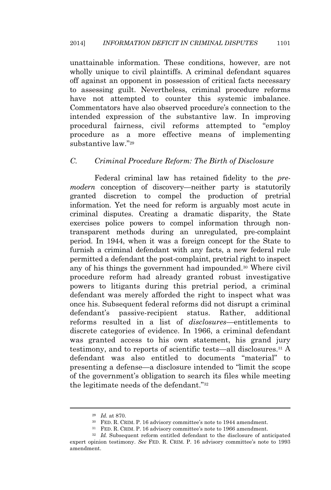unattainable information. These conditions, however, are not wholly unique to civil plaintiffs. A criminal defendant squares off against an opponent in possession of critical facts necessary to assessing guilt. Nevertheless, criminal procedure reforms have not attempted to counter this systemic imbalance. Commentators have also observed procedure's connection to the intended expression of the substantive law. In improving procedural fairness, civil reforms attempted to "employ procedure as a more effective means of implementing substantive law." 29

#### *C. Criminal Procedure Reform: The Birth of Disclosure*

Federal criminal law has retained fidelity to the *premodern* conception of discovery—neither party is statutorily granted discretion to compel the production of pretrial information. Yet the need for reform is arguably most acute in criminal disputes. Creating a dramatic disparity, the State exercises police powers to compel information through nontransparent methods during an unregulated, pre-complaint period. In 1944, when it was a foreign concept for the State to furnish a criminal defendant with any facts, a new federal rule permitted a defendant the post-complaint, pretrial right to inspect any of his things the government had impounded.<sup>30</sup> Where civil procedure reform had already granted robust investigative powers to litigants during this pretrial period, a criminal defendant was merely afforded the right to inspect what was once his. Subsequent federal reforms did not disrupt a criminal defendant's passive-recipient status. Rather, additional reforms resulted in a list of *disclosures*—entitlements to discrete categories of evidence. In 1966, a criminal defendant was granted access to his own statement, his grand jury testimony, and to reports of scientific tests—all disclosures.<sup>31</sup> A defendant was also entitled to documents "material" to presenting a defense—a disclosure intended to "limit the scope of the government's obligation to search its files while meeting the legitimate needs of the defendant."<sup>32</sup>

<sup>29</sup> *Id.* at 870.

<sup>30</sup> FED. R. CRIM. P. 16 advisory committee's note to 1944 amendment.

<sup>31</sup> FED. R. CRIM. P. 16 advisory committee's note to 1966 amendment.

<sup>32</sup> *Id.* Subsequent reform entitled defendant to the disclosure of anticipated expert opinion testimony. *See* FED. R. CRIM. P. 16 advisory committee's note to 1993 amendment.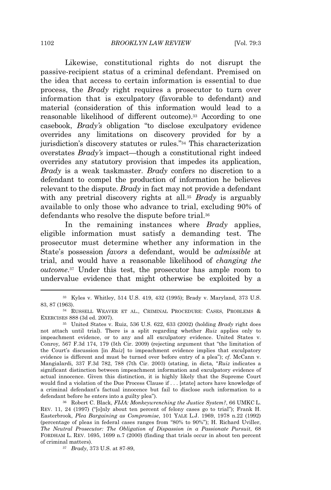Likewise, constitutional rights do not disrupt the passive-recipient status of a criminal defendant. Premised on the idea that access to certain information is essential to due process, the *Brady* right requires a prosecutor to turn over information that is exculpatory (favorable to defendant) and material (consideration of this information would lead to a reasonable likelihood of different outcome).<sup>33</sup> According to one casebook, *Brady's* obligation "to disclose exculpatory evidence overrides any limitations on discovery provided for by a jurisdiction's discovery statutes or rules." <sup>34</sup> This characterization overstates *Brady's* impact—though a constitutional right indeed overrides any statutory provision that impedes its application, *Brady* is a weak taskmaster. *Brady* confers no discretion to a defendant to compel the production of information he believes relevant to the dispute. *Brady* in fact may not provide a defendant with any pretrial discovery rights at all.<sup>35</sup> *Brady* is arguably available to only those who advance to trial, excluding 90% of defendants who resolve the dispute before trial.<sup>36</sup>

In the remaining instances where *Brady* applies, eligible information must satisfy a demanding test. The prosecutor must determine whether any information in the State's possession *favors* a defendant, would be *admissible* at trial, and would have a reasonable likelihood of *changing the outcome*. <sup>37</sup> Under this test, the prosecutor has ample room to undervalue evidence that might otherwise be exploited by a

<sup>33</sup> Kyles v. Whitley, 514 U.S. 419, 432 (1995); Brady v. Maryland, 373 U.S. 83, 87 (1963).

<sup>34</sup> RUSSELL WEAVER ET AL., CRIMINAL PROCEDURE: CASES, PROBLEMS & EXERCISES 888 (3d ed. 2007).

<sup>35</sup> United States v. Ruiz, 536 U.S. 622, 633 (2002) (holding *Brady* right does not attach until trial). There is a split regarding whether *Ruiz* applies only to impeachment evidence, or to any and all exculpatory evidence. United States v. Conroy*,* 567 F.3d 174, 179 (5th Cir. 2009) (rejecting argument that "the limitation of the Court's discussion [in *Ruiz*] to impeachment evidence implies that exculpatory evidence is different and must be turned over before entry of a plea"); *cf*. McCann v. Mangialardi*,* 337 F.3d 782, 788 (7th Cir. 2003) (stating, in dicta*,* "*Ruiz* indicates a significant distinction between impeachment information and exculpatory evidence of actual innocence. Given this distinction, it is highly likely that the Supreme Court would find a violation of the Due Process Clause if . . . [state] actors have knowledge of a criminal defendant's factual innocence but fail to disclose such information to a defendant before he enters into a guilty plea").

<sup>36</sup> Robert C. Black, *FIJA: Monkeywrenching the Justice System?*, 66 UMKC L. REV. 11, 24 (1997) ("[o]nly about ten percent of felony cases go to trial"); Frank H. Easterbrook, *Plea Bargaining as Compromise*, 101 YALE L.J. 1969, 1978 n.22 (1992) (percentage of pleas in federal cases ranges from "80% to 90%"); H. Richard Uviller, *The Neutral Prosecutor: The Obligation of Dispassion in a Passionate Pursuit*, 68 FORDHAM L. REV. 1695, 1699 n.7 (2000) (finding that trials occur in about ten percent of criminal matters).

<sup>37</sup> *Brady*, 373 U.S. at 87-89,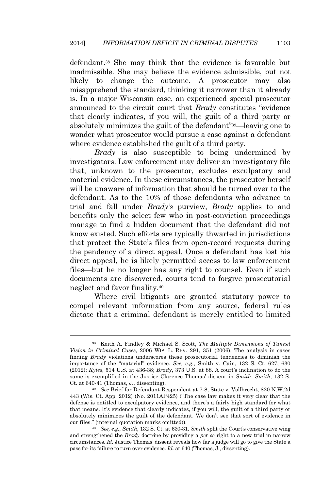defendant.<sup>38</sup> She may think that the evidence is favorable but inadmissible. She may believe the evidence admissible, but not likely to change the outcome. A prosecutor may also misapprehend the standard, thinking it narrower than it already is. In a major Wisconsin case, an experienced special prosecutor announced to the circuit court that *Brady* constitutes "evidence that clearly indicates, if you will, the guilt of a third party or absolutely minimizes the guilt of the defendant" <sup>39</sup>—leaving one to wonder what prosecutor would pursue a case against a defendant where evidence established the guilt of a third party.

*Brady* is also susceptible to being undermined by investigators. Law enforcement may deliver an investigatory file that, unknown to the prosecutor, excludes exculpatory and material evidence. In these circumstances, the prosecutor herself will be unaware of information that should be turned over to the defendant. As to the 10% of those defendants who advance to trial and fall under *Brady's* purview, *Brady* applies to and benefits only the select few who in post-conviction proceedings manage to find a hidden document that the defendant did not know existed. Such efforts are typically thwarted in jurisdictions that protect the State's files from open-record requests during the pendency of a direct appeal. Once a defendant has lost his direct appeal, he is likely permitted access to law enforcement files—but he no longer has any right to counsel. Even if such documents are discovered, courts tend to forgive prosecutorial neglect and favor finality.<sup>40</sup>

Where civil litigants are granted statutory power to compel relevant information from any source, federal rules dictate that a criminal defendant is merely entitled to limited

<sup>38</sup> Keith A. Findley & Michael S. Scott, *The Multiple Dimensions of Tunnel Vision in Criminal Cases*, 2006 WIS. L. REV. 291, 351 (2006). The analysis in cases finding *Brady* violations underscores these prosecutorial tendencies to diminish the importance of the "material" evidence. *See, e.g.*, Smith v. Cain, 132 S. Ct. 627, 630 (2012); *Kyles*, 514 U.S. at 436-38; *Brady*, 373 U.S. at 88. A court's inclination to do the same is exemplified in the Justice Clarence Thomas' dissent in *Smith*. *Smith*, 132 S. Ct. at 640-41 (Thomas, J., dissenting).

<sup>39</sup> *See* Brief for Defendant-Respondent at 7-8, State v. Vollbrecht, 820 N.W.2d 443 (Wis. Ct. App. 2012) (No. 2011AP425) ("The case law makes it very clear that the defense is entitled to exculpatory evidence, and there's a fairly high standard for what that means. It's evidence that clearly indicates, if you will, the guilt of a third party or absolutely minimizes the guilt of the defendant. We don't see that sort of evidence in our files." (internal quotation marks omitted)).

<sup>40</sup> *See, e.g.*, *Smith*, 132 S. Ct. at 630-31. *Smith* split the Court's conservative wing and strengthened the *Brady* doctrine by providing a *per se* right to a new trial in narrow circumstances. *Id.* Justice Thomas' dissent reveals how far a judge will go to give the State a pass for its failure to turn over evidence. *Id.* at 640 (Thomas, J., dissenting).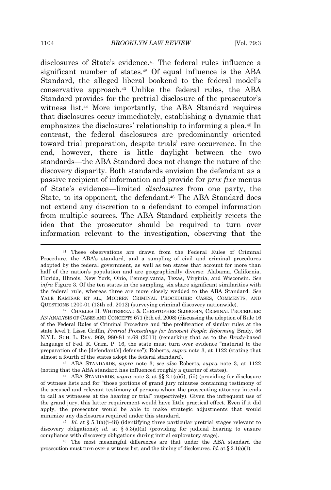disclosures of State's evidence.<sup>41</sup> The federal rules influence a significant number of states.<sup>42</sup> Of equal influence is the ABA Standard, the alleged liberal bookend to the federal model's conservative approach.<sup>43</sup> Unlike the federal rules, the ABA Standard provides for the pretrial disclosure of the prosecutor's witness list.<sup>44</sup> More importantly, the ABA Standard requires that disclosures occur immediately, establishing a dynamic that emphasizes the disclosures' relationship to informing a plea.<sup>45</sup> In contrast, the federal disclosures are predominantly oriented toward trial preparation, despite trials' rare occurrence. In the end, however, there is little daylight between the two standards—the ABA Standard does not change the nature of the discovery disparity. Both standards envision the defendant as a passive recipient of information and provide for *prix fixe* menus of State's evidence—limited *disclosures* from one party, the State, to its opponent, the defendant.<sup>46</sup> The ABA Standard does not extend any discretion to a defendant to compel information from multiple sources. The ABA Standard explicitly rejects the idea that the prosecutor should be required to turn over information relevant to the investigation, observing that the

<sup>43</sup> ABA STANDARDS, *supra* note 3; *see also* Roberts, *supra* note 3, at 1122 (noting that the ABA standard has influenced roughly a quarter of states).

<sup>41</sup> These observations are drawn from the Federal Rules of Criminal Procedure, the ABA's standard, and a sampling of civil and criminal procedures adopted by the federal government, as well as ten states that account for more than half of the nation's population and are geographically diverse: Alabama, California, Florida, Illinois, New York, Ohio, Pennsylvania, Texas, Virginia, and Wisconsin. *See infra* Figure 3. Of the ten states in the sampling, six share significant similarities with the federal rule, whereas three are more closely wedded to the ABA Standard. *See* YALE KAMISAR ET AL., MODERN CRIMINAL PROCEDURE: CASES, COMMENTS, AND QUESTIONS 1200-01 (13th ed. 2012) (surveying criminal discovery nationwide).

<sup>42</sup> CHARLES H. WHITEBREAD & CHRISTOPHER SLOBOGIN, CRIMINAL PROCEDURE: AN ANALYSIS OF CASES AND CONCEPTS 671 (5th ed. 2008) (discussing the adoption of Rule 16 of the Federal Rules of Criminal Procedure and "the proliferation of similar rules at the state level"); Lissa Griffin, *Pretrial Proceedings for Innocent People: Reforming* Brady, 56 N.Y.L. SCH. L. REV. 969, 980-81 n.69 (2011) (remarking that as to the *Brady*-based language of Fed. R. Crim. P. 16, the state must turn over evidence "material to the preparation of the [defendant's] defense"); Roberts, *supra* note 3, at 1122 (stating that almost a fourth of the states adopt the federal standard).

<sup>44</sup> ABA STANDARDS, *supra* note 3, at §§ 2.1(a)(i), (iii) (providing for disclosure of witness lists and for "those portions of grand jury minutes containing testimony of the accused and relevant testimony of persons whom the prosecuting attorney intends to call as witnesses at the hearing or trial" respectively). Given the infrequent use of the grand jury, this latter requirement would have little practical effect. Even if it did apply, the prosecutor would be able to make strategic adjustments that would minimize any disclosures required under this standard.

 $45$  *Id.* at § 5.1(a)(i-iii) (identifying three particular pretrial stages relevant to discovery obligations); *id.* at § 5.3(a)(ii) (providing for judicial hearing to ensure compliance with discovery obligations during initial exploratory stage).

<sup>46</sup> The most meaningful differences are that under the ABA standard the prosecution must turn over a witness list, and the timing of disclosures. *Id.* at § 2.1(a)(1).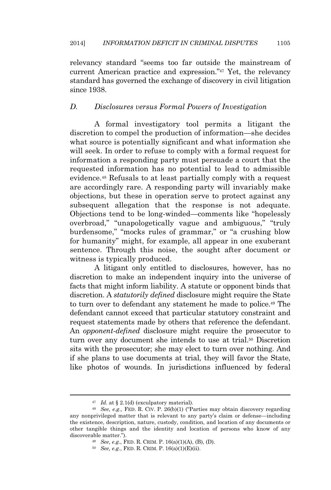relevancy standard "seems too far outside the mainstream of current American practice and expression." <sup>47</sup> Yet, the relevancy standard has governed the exchange of discovery in civil litigation since 1938.

#### *D. Disclosures versus Formal Powers of Investigation*

A formal investigatory tool permits a litigant the discretion to compel the production of information—she decides what source is potentially significant and what information she will seek. In order to refuse to comply with a formal request for information a responding party must persuade a court that the requested information has no potential to lead to admissible evidence.<sup>48</sup> Refusals to at least partially comply with a request are accordingly rare. A responding party will invariably make objections, but these in operation serve to protect against any subsequent allegation that the response is not adequate. Objections tend to be long-winded—comments like "hopelessly overbroad," "unapologetically vague and ambiguous," "truly burdensome," "mocks rules of grammar," or "a crushing blow for humanity" might, for example, all appear in one exuberant sentence. Through this noise, the sought after document or witness is typically produced.

A litigant only entitled to disclosures, however, has no discretion to make an independent inquiry into the universe of facts that might inform liability. A statute or opponent binds that discretion. A *statutorily defined* disclosure might require the State to turn over to defendant any statement he made to police.<sup>49</sup> The defendant cannot exceed that particular statutory constraint and request statements made by others that reference the defendant. An *opponent-defined* disclosure might require the prosecutor to turn over any document she intends to use at trial.<sup>50</sup> Discretion sits with the prosecutor; she may elect to turn over nothing. And if she plans to use documents at trial, they will favor the State, like photos of wounds. In jurisdictions influenced by federal

<sup>47</sup> *Id.* at § 2.1(d) (exculpatory material).

<sup>48</sup> *See, e.g.,* FED. R. CIV. P. 26(b)(1) ("Parties may obtain discovery regarding any nonprivileged matter that is relevant to any party's claim or defense—including the existence, description, nature, custody, condition, and location of any documents or other tangible things and the identity and location of persons who know of any discoverable matter.").

<sup>49</sup> *See, e.g*., FED. R. CRIM. P. 16(a)(1)(A), (B), (D).

<sup>50</sup> *See, e.g*., FED. R. CRIM. P. 16(a)(1)(E)(ii).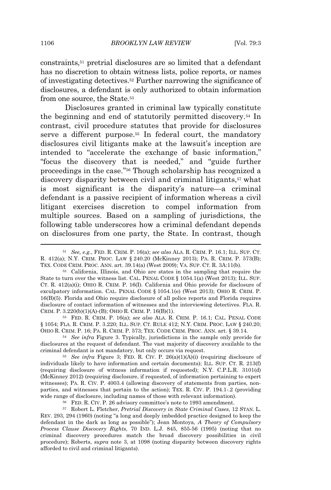constraints,<sup>51</sup> pretrial disclosures are so limited that a defendant has no discretion to obtain witness lists, police reports, or names of investigating detectives.<sup>52</sup> Further narrowing the significance of disclosures, a defendant is only authorized to obtain information from one source, the State.<sup>53</sup>

Disclosures granted in criminal law typically constitute the beginning and end of statutorily permitted discovery.<sup>54</sup> In contrast, civil procedure statutes that provide for disclosures serve a different purpose.<sup>55</sup> In federal court, the mandatory disclosures civil litigants make at the lawsuit's inception are intended to "accelerate the exchange of basic information," "focus the discovery that is needed," and "guide further proceedings in the case." <sup>56</sup> Though scholarship has recognized a discovery disparity between civil and criminal litigants,<sup>57</sup> what is most significant is the disparity's nature—a criminal defendant is a passive recipient of information whereas a civil litigant exercises discretion to compel information from multiple sources. Based on a sampling of jurisdictions, the following table underscores how a criminal defendant depends on disclosures from one party, the State. In contrast, though

<sup>53</sup> FED. R. CRIM. P. 16(a); *see also* ALA. R. CRIM. P. 16.1; CAL. PENAL CODE § 1054; FLA. R. CRIM. P. 3.220; ILL. SUP. CT. RULE 412; N.Y. CRIM. PROC. LAW § 240.20; OHIO R. CRIM. P. 16; PA. R. CRIM. P. 573; TEX. CODE CRIM. PROC. ANN. art. § 39.14.

<sup>54</sup> *See infra* Figure 3. Typically, jurisdictions in the sample only provide for disclosures at the request of defendant. The vast majority of discovery available to the criminal defendant is not mandatory, but only occurs via request.

<sup>55</sup> *See infra* Figure 3; FED. R. CIV. P. 26(a)(1)(A)(i) (requiring disclosure of individuals likely to have information and certain documents); ILL. SUP. CT. R. 213(f) (requiring disclosure of witness information if requested); N.Y. C.P.L.R. 3101(d) (McKinney 2012) (requiring disclosure, if requested, of information pertaining to expert witnesses); PA. R. CIV. P. 4003.4 (allowing discovery of statements from parties, nonparties, and witnesses that pertain to the action); TEX. R. CIV. P. 194.1-.2 (providing wide range of disclosure, including names of those with relevant information).

<sup>56</sup> FED. R. CIV. P. 26 advisory committee's note to 1993 amendment.

<sup>57</sup> Robert L. Fletcher, *Pretrial Discovery in State Criminal Cases*, 12 STAN. L. REV. 293, 294 (1960) (noting "a long and deeply imbedded practice designed to keep the defendant in the dark as long as possible"); Jean Montoya, *A Theory of Compulsory Process Clause Discovery Rights*, 70 IND. L.J. 845, 855-56 (1995) (noting that no criminal discovery procedures match the broad discovery possibilities in civil procedure); Roberts, *supra* note 3, at 1098 (noting disparity between discovery rights afforded to civil and criminal litigants).

<sup>51</sup> *See, e.g.*, FED. R. CRIM. P. 16(a); *see also* ALA. R. CRIM. P. 16.1; ILL. SUP. CT. R. 412(a); N.Y. CRIM. PROC. LAW § 240.20 (McKinney 2013); PA. R. CRIM. P. 573(B); TEX. CODE CRIM. PROC. ANN. art. 39.14(a) (West 2009); VA. SUP. CT. R. 3A:11(b).

<sup>52</sup> California, Illinois, and Ohio are states in the sampling that require the State to turn over the witness list. CAL. PENAL CODE § 1054.1(a) (West 2013); ILL. SUP. CT. R. 412(a)(i); OHIO R. CRIM. P. 16(I). California and Ohio provide for disclosure of exculpatory information. CAL. PENAL CODE § 1054.1(e) (West 2013); OHIO R. CRIM. P. 16(B)(5). Florida and Ohio require disclosure of all police reports and Florida requires disclosure of contact information of witnesses and the interviewing detectives. FLA. R. CRIM. P. 3.220(b)(1)(A)-(B); OHIO R. CRIM. P. 16(B)(1).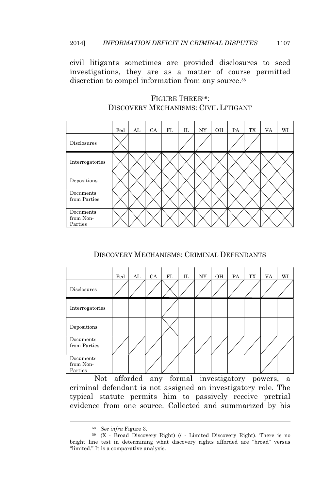civil litigants sometimes are provided disclosures to seed investigations, they are as a matter of course permitted discretion to compel information from any source.<sup>58</sup>

|                                   | Fed | AL | CA | FL | IL | NY | OH | PA | TX | VA | WI |
|-----------------------------------|-----|----|----|----|----|----|----|----|----|----|----|
| Disclosures                       |     |    |    |    |    |    |    |    |    |    |    |
| Interrogatories                   |     |    |    |    |    |    |    |    |    |    |    |
| Depositions                       |     |    |    |    |    |    |    |    |    |    |    |
| Documents<br>from Parties         |     |    |    |    |    |    |    |    |    |    |    |
| Documents<br>from Non-<br>Parties |     |    |    |    |    |    |    |    |    |    |    |

# FIGURE THREE<sup>59</sup>: DISCOVERY MECHANISMS: CIVIL LITIGANT

# DISCOVERY MECHANISMS: CRIMINAL DEFENDANTS

|                                   | Fed | AL | CA | FL | IL | NY | OH | PA | TX | VA | WI |
|-----------------------------------|-----|----|----|----|----|----|----|----|----|----|----|
| Disclosures                       |     |    |    |    |    |    |    |    |    |    |    |
| Interrogatories                   |     |    |    |    |    |    |    |    |    |    |    |
| Depositions                       |     |    |    |    |    |    |    |    |    |    |    |
| Documents<br>from Parties         |     |    |    |    |    |    |    |    |    |    |    |
| Documents<br>from Non-<br>Parties |     |    |    |    |    |    |    |    |    |    |    |

Not afforded any formal investigatory powers, a criminal defendant is not assigned an investigatory role. The typical statute permits him to passively receive pretrial evidence from one source. Collected and summarized by his

<sup>58</sup> *See infra* Figure 3.

<sup>59</sup> (X - Broad Discovery Right) (/ - Limited Discovery Right). There is no bright line test in determining what discovery rights afforded are "broad" versus "limited." It is a comparative analysis.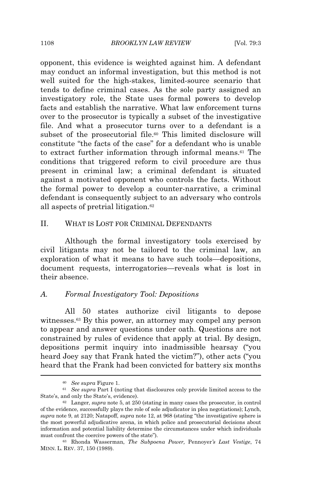opponent, this evidence is weighted against him. A defendant may conduct an informal investigation, but this method is not well suited for the high-stakes, limited-source scenario that tends to define criminal cases. As the sole party assigned an investigatory role, the State uses formal powers to develop facts and establish the narrative. What law enforcement turns over to the prosecutor is typically a subset of the investigative file. And what a prosecutor turns over to a defendant is a subset of the prosecutorial file.<sup>60</sup> This limited disclosure will constitute "the facts of the case" for a defendant who is unable to extract further information through informal means.<sup>61</sup> The conditions that triggered reform to civil procedure are thus present in criminal law; a criminal defendant is situated against a motivated opponent who controls the facts. Without the formal power to develop a counter-narrative, a criminal defendant is consequently subject to an adversary who controls all aspects of pretrial litigation.<sup>62</sup>

#### II. WHAT IS LOST FOR CRIMINAL DEFENDANTS

Although the formal investigatory tools exercised by civil litigants may not be tailored to the criminal law, an exploration of what it means to have such tools—depositions, document requests, interrogatories—reveals what is lost in their absence.

#### *A. Formal Investigatory Tool: Depositions*

All 50 states authorize civil litigants to depose witnesses.<sup>63</sup> By this power, an attorney may compel any person to appear and answer questions under oath. Questions are not constrained by rules of evidence that apply at trial. By design, depositions permit inquiry into inadmissible hearsay ("you heard Joey say that Frank hated the victim?"), other acts ("you heard that the Frank had been convicted for battery six months

<sup>60</sup> *See supra* Figure 1.

<sup>61</sup> *See supra* Part I (noting that disclosures only provide limited access to the State's, and only the State's, evidence).

<sup>62</sup> Langer, *supra* note 5, at 250 (stating in many cases the prosecutor, in control of the evidence, successfully plays the role of sole adjudicator in plea negotiations); Lynch, *supra* note 9, at 2120; Natapoff, *supra* note 12, at 968 (stating "the investigative sphere is the most powerful adjudicative arena, in which police and prosecutorial decisions about information and potential liability determine the circumstances under which individuals must confront the coercive powers of the state").

<sup>63</sup> Rhonda Wasserman, *The Subpoena Power,* Pennoyer*'s Last Vestige*, 74 MINN. L. REV. 37, 150 (1989).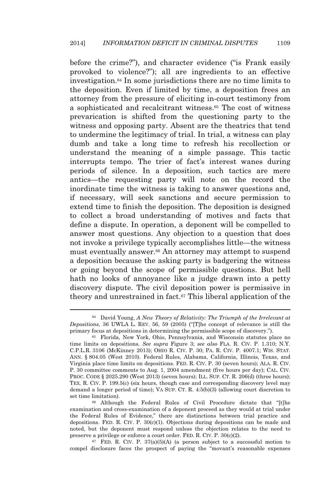before the crime?"), and character evidence ("is Frank easily provoked to violence?"); all are ingredients to an effective investigation.<sup>64</sup> In some jurisdictions there are no time limits to the deposition. Even if limited by time, a deposition frees an attorney from the pressure of eliciting in-court testimony from a sophisticated and recalcitrant witness.<sup>65</sup> The cost of witness prevarication is shifted from the questioning party to the witness and opposing party. Absent are the theatrics that tend to undermine the legitimacy of trial. In trial, a witness can play dumb and take a long time to refresh his recollection or understand the meaning of a simple passage. This tactic interrupts tempo. The trier of fact's interest wanes during periods of silence. In a deposition, such tactics are mere antics—the requesting party will note on the record the inordinate time the witness is taking to answer questions and, if necessary, will seek sanctions and secure permission to extend time to finish the deposition. The deposition is designed to collect a broad understanding of motives and facts that define a dispute. In operation, a deponent will be compelled to answer most questions. Any objection to a question that does not invoke a privilege typically accomplishes little—the witness must eventually answer.<sup>66</sup> An attorney may attempt to suspend a deposition because the asking party is badgering the witness or going beyond the scope of permissible questions. But hell hath no looks of annoyance like a judge drawn into a petty discovery dispute. The civil deposition power is permissive in theory and unrestrained in fact.<sup>67</sup> This liberal application of the

<sup>64</sup> David Young, *A New Theory of Relativity: The Triumph of the Irrelevant at Depositions*, 36 UWLA L. REV. 56, 59 (2005) ("[T]he concept of relevance is still the primary focus at depositions in determining the permissible scope of discovery.").

<sup>65</sup> Florida, New York, Ohio, Pennsylvania, and Wisconsin statutes place no time limits on depositions. *See supra* Figure 3; *see also* FLA. R. CIV. P. 1.310; N.Y. C.P.L.R. 3106 (McKinney 2013); OHIO R. CIV. P. 30; PA. R. CIV. P. 4007.1; WIS. STAT. ANN. § 804.05 (West 2010). Federal Rules, Alabama, California, Illinois, Texas, and Virginia place time limits on depositions. FED. R. CIV. P. 30 (seven hours); ALA. R. CIV. P. 30 committee comments to Aug. 1, 2004 amendment (five hours per day); CAL. CIV. PROC. CODE § 2025.290 (West 2013) (seven hours); ILL. SUP. CT. R. 206(d) (three hours); TEX. R. CIV. P. 199.5(c) (six hours, though case and corresponding discovery level may demand a longer period of time); VA SUP. CT. R. 4:5(b)(3) (allowing court discretion to set time limitation).

<sup>66</sup> Although the Federal Rules of Civil Procedure dictate that "[t]he examination and cross-examination of a deponent proceed as they would at trial under the Federal Rules of Evidence," there are distinctions between trial practice and depositions. FED. R. CIV. P. 30(c)(1). Objections during depositions can be made and noted, but the deponent must respond unless the objection relates to the need to preserve a privilege or enforce a court order. FED. R. CIV. P. 30(c)(2).

 $67$  FED. R. CIV. P. 37(a)(5)(A) (a person subject to a successful motion to compel disclosure faces the prospect of paying the "movant's reasonable expenses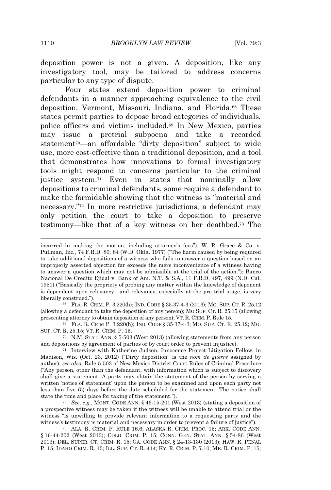deposition power is not a given. A deposition, like any investigatory tool, may be tailored to address concerns particular to any type of dispute.

Four states extend deposition power to criminal defendants in a manner approaching equivalence to the civil deposition: Vermont, Missouri, Indiana, and Florida.<sup>68</sup> These states permit parties to depose broad categories of individuals, police officers and victims included.<sup>69</sup> In New Mexico, parties may issue a pretrial subpoena and take a recorded statement<sup>70</sup>—an affordable "dirty deposition" subject to wide use, more cost-effective than a traditional deposition, and a tool that demonstrates how innovations to formal investigatory tools might respond to concerns particular to the criminal justice system.<sup>71</sup> Even in states that nominally allow depositions to criminal defendants, some require a defendant to make the formidable showing that the witness is "material and necessary." <sup>72</sup> In more restrictive jurisdictions, a defendant may only petition the court to take a deposition to preserve testimony—like that of a key witness on her deathbed.<sup>73</sup> The

<sup>68</sup> FLA. R. CRIM. P. 3.220(h); IND. CODE § 35-37-4-3 (2013); MO. SUP. CT. R. 25.12 (allowing a defendant to take the deposition of any person); MO SUP. CT. R. 25.15 (allowing prosecuting attorney to obtain deposition of any person); VT. R. CRIM. P. Rule 15.

<sup>70</sup> N.M. STAT. ANN. § 5-503 (West 2013) (allowing statements from any person and depositions by agreement of parties or by court order to prevent injustice).

<sup>73</sup> ALA. R. CRIM. P. RULE 16.6; ALASKA R. CRIM. PROC. 15; ARK. CODE ANN. § 16-44-202 (West 2013); COLO. CRIM. P. 15; CONN. GEN. STAT. ANN. § 54-86 (West 2013); DEL. SUPER. CT. CRIM. R. 15; GA. CODE ANN. § 24-13-130 (2013); HAW. R. PENAL P. 15; IDAHO CRIM. R. 15; ILL. SUP. CT. R. 414; KY. R. CRIM. P. 7.10; ME. R. CRIM. P. 15;

incurred in making the motion, including attorney's fees"); W. R. Grace & Co. v. Pullman, Inc., 74 F.R.D. 80, 84 (W.D. Okla. 1977) ("The harm caused by being required to take additional depositions of a witness who fails to answer a question based on an improperly asserted objection far exceeds the mere inconvenience of a witness having to answer a question which may not be admissible at the trial of the action."); Banco Nacional De Credito Ejidal v. Bank of Am. N.T. & S.A., 11 F.R.D. 497, 499 (N.D. Cal. 1951) ("Basically the propriety of probing any matter within the knowledge of deponent is dependent upon relevancy—and relevancy, especially at the pre-trial stage, is very liberally construed.").

<sup>69</sup> FLA. R. CRIM P. 3.220(h); IND. CODE § 35-37-4-3; MO. SUP. CT. R. 25.12; MO. SUP. CT. R. 25.15; VT. R. CRIM. P. 15.

<sup>71</sup> Interview with Katherine Judson, Innocence Project Litigation Fellow, in Madison, Wis. (Oct. 23, 2012) ("Dirty deposition" is the *nom de guerre* assigned by author); *see also*, Rule 5-503 of New Mexico District Court Rules of Criminal Procedure ("Any person, other than the defendant, with information which is subject to discovery shall give a statement. A party may obtain the statement of the person by serving a written 'notice of statement' upon the person to be examined and upon each party not less than five (5) days before the date scheduled for the statement. The notice shall state the time and place for taking of the statement.").

<sup>72</sup> *See, e.g.*, MONT. CODE ANN. § 46-15-201 (West 2013) (stating a deposition of a prospective witness may be taken if the witness will be unable to attend trial or the witness "is unwilling to provide relevant information to a requesting party and the witness's testimony is material and necessary in order to prevent a failure of justice").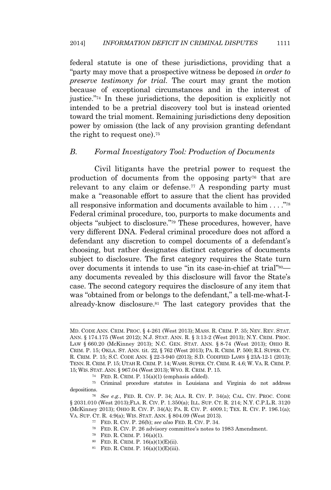federal statute is one of these jurisdictions, providing that a "party may move that a prospective witness be deposed *in order to preserve testimony for trial*. The court may grant the motion because of exceptional circumstances and in the interest of justice." <sup>74</sup> In these jurisdictions, the deposition is explicitly not intended to be a pretrial discovery tool but is instead oriented toward the trial moment. Remaining jurisdictions deny deposition power by omission (the lack of any provision granting defendant the right to request one).<sup>75</sup>

#### *B. Formal Investigatory Tool: Production of Documents*

Civil litigants have the pretrial power to request the production of documents from the opposing party<sup>76</sup> that are relevant to any claim or defense.<sup>77</sup> A responding party must make a "reasonable effort to assure that the client has provided all responsive information and documents available to  $\lim \dots$ ."<sup>78</sup> Federal criminal procedure, too, purports to make documents and objects "subject to disclosure." <sup>79</sup> These procedures, however, have very different DNA. Federal criminal procedure does not afford a defendant any discretion to compel documents of a defendant's choosing, but rather designates distinct categories of documents subject to disclosure. The first category requires the State turn over documents it intends to use "in its case-in-chief at trial"<sup>80</sup>any documents revealed by this disclosure will favor the State's case. The second category requires the disclosure of any item that was "obtained from or belongs to the defendant," a tell-me-what-Ialready-know disclosure.<sup>81</sup> The last category provides that the

MD. CODE ANN. CRIM. PROC. § 4-261 (West 2013); MASS. R. CRIM. P. 35; NEV. REV. STAT. ANN. § 174.175 (West 2012); N.J. STAT. ANN. R. § 3:13-2 (West 2013); N.Y. CRIM. PROC. LAW § 660.20 (McKinney 2013); N.C. GEN. STAT. ANN. § 8-74 (West 2013); OHIO R. CRIM. P. 15; OKLA. ST. ANN. tit. 22, § 762 (West 2013); PA. R. CRIM. P. 500; R.I. SUPER. CT. R. CRIM. P. 15; S.C. CODE ANN. § 22-3-940 (2013); S.D. CODIFIED LAWS § 23A-12-1 (2013); TENN. R. CRIM. P. 15; UTAH R. CRIM. P. 14; WASH. SUPER. CT. CRIM. R. 4.6; W. VA. R. CRIM. P. 15; WIS. STAT. ANN. § 967.04 (West 2013); WYO. R. CRIM. P. 15.

<sup>74</sup> FED. R. CRIM. P. 15(a)(1) (emphasis added).

<sup>75</sup> Criminal procedure statutes in Louisiana and Virginia do not address depositions.

<sup>76</sup> *See e.g.*, FED. R. CIV. P. 34; ALA. R. CIV. P. 34(a); CAL. CIV. PROC. CODE § 2031.010 (West 2013);FLA. R. CIV. P. 1.350(a); ILL. SUP. CT. R. 214; N.Y. C.P.L.R. 3120 (McKinney 2013); OHIO R. CIV. P. 34(A); PA. R. CIV. P. 4009.1; TEX. R. CIV. P. 196.1(a); VA. SUP. CT. R. 4:9(a); WIS. STAT. ANN. § 804.09 (West 2013).

<sup>77</sup> FED. R. CIV. P. 26(b); *see also* FED. R. CIV. P. 34.

<sup>78</sup> FED. R. CIV. P. 26 advisory committee's notes to 1983 Amendment.

<sup>79</sup> FED. R. CRIM. P. 16(a)(1).

<sup>80</sup> FED. R. CRIM. P. 16(a)(1)(E)(ii).

<sup>81</sup> FED. R. CRIM. P. 16(a)(1)(E)(iii).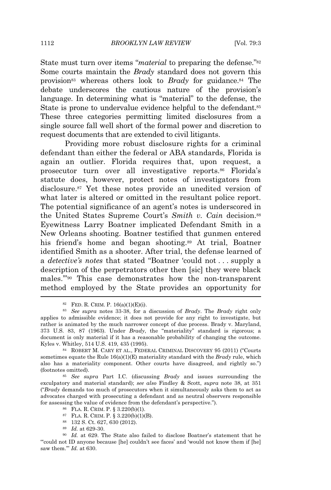State must turn over items "*material* to preparing the defense."<sup>82</sup> Some courts maintain the *Brady* standard does not govern this provision<sup>83</sup> whereas others look to *Brady* for guidance.<sup>84</sup> The debate underscores the cautious nature of the provision's language. In determining what is "material" to the defense, the State is prone to undervalue evidence helpful to the defendant.<sup>85</sup> These three categories permitting limited disclosures from a single source fall well short of the formal power and discretion to request documents that are extended to civil litigants.

Providing more robust disclosure rights for a criminal defendant than either the federal or ABA standards, Florida is again an outlier. Florida requires that, upon request, a prosecutor turn over all investigative reports.<sup>86</sup> Florida's statute does, however, protect notes of investigators from disclosure.<sup>87</sup> Yet these notes provide an unedited version of what later is altered or omitted in the resultant police report. The potential significance of an agent's notes is underscored in the United States Supreme Court's *Smith v. Cain* decision.<sup>88</sup> Eyewitness Larry Boatner implicated Defendant Smith in a New Orleans shooting. Boatner testified that gunmen entered his friend's home and began shooting.<sup>89</sup> At trial, Boatner identified Smith as a shooter. After trial, the defense learned of a *detective's notes* that stated "Boatner 'could not . . . supply a description of the perpetrators other then [sic] they were black males.'" <sup>90</sup> This case demonstrates how the non-transparent method employed by the State provides an opportunity for

 $82$  FED. R. CRIM. P. 16(a)(1)(E)(i).

<sup>83</sup> *See supra* notes 33-38, for a discussion of *Brady*. The *Brady* right only applies to admissible evidence; it does not provide for any right to investigate, but rather is animated by the much narrower concept of due process. Brady v. Maryland, 373 U.S. 83, 87 (1963). Under *Brady*, the "materiality" standard is rigorous; a document is only material if it has a reasonable probability of changing the outcome. Kyles v. Whitley, 514 U.S. 419, 435 (1995).

<sup>84</sup> ROBERT M. CARY ET AL., FEDERAL CRIMINAL DISCOVERY 95 (2011) ("Courts sometimes equate the Rule 16(a)(1)(E) materiality standard with the *Brady* rule, which also has a materiality component. Other courts have disagreed, and rightly so.") (footnotes omitted).

<sup>85</sup> *See supra* Part I.C. (discussing *Brady* and issues surrounding the exculpatory and material standard); *see also* Findley & Scott, *supra* note 38, at 351 ("*Brady* demands too much of prosecutors when it simultaneously asks them to act as advocates charged with prosecuting a defendant and as neutral observers responsible for assessing the value of evidence from the defendant's perspective.").

<sup>86</sup> FLA. R. CRIM. P. § 3.220(b)(1).

<sup>87</sup> FLA. R. CRIM. P. § 3.220(b)(1)(B).

<sup>88</sup> 132 S. Ct. 627, 630 (2012).

<sup>89</sup> *Id.* at 629-30.

<sup>90</sup> *Id.* at 629. The State also failed to disclose Boatner's statement that he "'could not ID anyone because [he] couldn't see faces' and 'would not know them if [he] saw them.'" *Id.* at 630.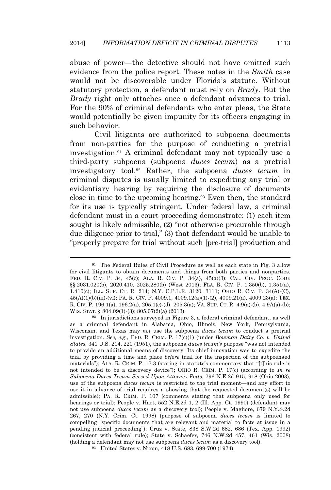abuse of power—the detective should not have omitted such evidence from the police report. These notes in the *Smith* case would not be discoverable under Florida's statute. Without statutory protection, a defendant must rely on *Brady*. But the *Brady* right only attaches once a defendant advances to trial. For the 90% of criminal defendants who enter pleas, the State would potentially be given impunity for its officers engaging in such behavior.

Civil litigants are authorized to subpoena documents from non-parties for the purpose of conducting a pretrial investigation.<sup>91</sup> A criminal defendant may not typically use a third-party subpoena (subpoena *duces tecum*) as a pretrial investigatory tool.<sup>92</sup> Rather, the subpoena *duces tecum* in criminal disputes is usually limited to expediting any trial or evidentiary hearing by requiring the disclosure of documents close in time to the upcoming hearing.<sup>93</sup> Even then, the standard for its use is typically stringent. Under federal law, a criminal defendant must in a court proceeding demonstrate: (1) each item sought is likely admissible, (2) "not otherwise procurable through due diligence prior to trial," (3) that defendant would be unable to "properly prepare for trial without such [pre-trial] production and

<sup>91</sup> The Federal Rules of Civil Procedure as well as each state in Fig. 3 allow for civil litigants to obtain documents and things from both parties and nonparties. FED. R. CIV. P. 34, 45(c); ALA. R. CIV. P. 34(a), 45(a)(3); CAL. CIV. PROC. CODE §§ 2031.020(b), 2020.410, 2025.280(b) (West 2013); FLA. R. CIV. P. 1.350(b), 1.351(a), 1.410(c); ILL. SUP. CT. R. 214; N.Y. C.P.L.R. 3120, 3111; OHIO R. CIV. P. 34(A)-(C), 45(A)(1)(b)(iii)-(vi); PA. R. CIV. P. 4009.1, 4009.12(a)(1)-(2), 4009.21(a), 4009.23(a); TEX. R. CIV. P. 196.1(a), 196.2(a), 205.1(c)-(d), 205.3(a); VA. SUP. CT. R. 4:9(a)-(b), 4:9A(a)-(b); WIS. STAT. § 804.09(1)-(3); 805.07(2)(a) (2013).

<sup>92</sup> In jurisdictions surveyed in Figure 3, a federal criminal defendant, as well as a criminal defendant in Alabama, Ohio, Illinois, New York, Pennsylvania, Wisconsin, and Texas may *not* use the subpoena *duces tecum* to conduct a pretrial investigation. *See, e.g.*, FED. R. CRIM. P. 17(c)(1) (under *Bowman Dairy Co. v. United States*, 341 U.S. 214, 220 (1951), the subpoena *duces tecum's* purpose "was not intended to provide an additional means of discovery. Its chief innovation was to expedite the trial by providing a time and place *before* trial for the inspection of the subpoenaed materials"); ALA. R. CRIM. P. 17.3 (stating in statute's commentary that "[t]his rule is not intended to be a discovery device"); OHIO R. CRIM. P. 17(c) (according to *In re Subpoena Duces Tecum Served Upon Attorney Potts*, 796 N.E.2d 915, 918 (Ohio 2003), use of the subpoena *duces tecum* is restricted to the trial moment—and any effort to use it in advance of trial requires a showing that the requested document(s) will be admissible); PA. R. CRIM. P. 107 (comments stating that subpoena only used for hearings or trial); People v. Hart, 552 N.E.2d 1, 2 (Ill. App. Ct. 1990) (defendant may not use subpoena *duces tecum* as a discovery tool); People v. Magliore, 679 N.Y.S.2d 267, 270 (N.Y. Crim. Ct. 1998) (purpose of subpoena *duces tecum* is limited to compelling "specific documents that are relevant and material to facts at issue in a pending judicial proceeding"); Cruz v. State, 838 S.W.2d 682, 686 (Tex. App. 1992) (consistent with federal rule); State v. Schaefer, 746 N.W.2d 457, 461 (Wis. 2008) (holding a defendant may not use subpoena *duces tecum* as a discovery tool).

<sup>93</sup> United States v. Nixon, 418 U.S. 683, 699-700 (1974).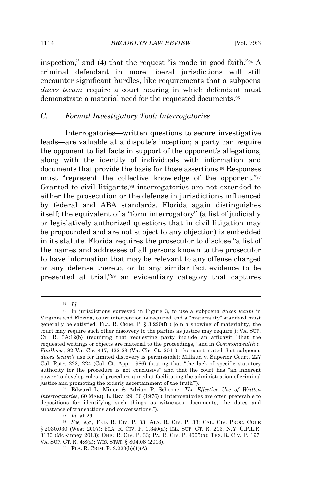inspection," and (4) that the request "is made in good faith." <sup>94</sup> A criminal defendant in more liberal jurisdictions will still encounter significant hurdles, like requirements that a subpoena *duces tecum* require a court hearing in which defendant must demonstrate a material need for the requested documents.<sup>95</sup>

### *C. Formal Investigatory Tool: Interrogatories*

Interrogatories—written questions to secure investigative leads—are valuable at a dispute's inception; a party can require the opponent to list facts in support of the opponent's allegations, along with the identity of individuals with information and documents that provide the basis for those assertions.<sup>96</sup> Responses must "represent the collective knowledge of the opponent." 97 Granted to civil litigants,<sup>98</sup> interrogatories are not extended to either the prosecution or the defense in jurisdictions influenced by federal and ABA standards. Florida again distinguishes itself; the equivalent of a "form interrogatory" (a list of judicially or legislatively authorized questions that in civil litigation may be propounded and are not subject to any objection) is embedded in its statute. Florida requires the prosecutor to disclose "a list of the names and addresses of all persons known to the prosecutor to have information that may be relevant to any offense charged or any defense thereto, or to any similar fact evidence to be presented at trial," <sup>99</sup> an evidentiary category that captures

<sup>94</sup> *Id.*

<sup>95</sup> In jurisdictions surveyed in Figure 3, to use a subpoena *duces tecum* in Virginia and Florida, court intervention is required and a "materiality" standard must generally be satisfied. FLA. R. CRIM. P. § 3.220(f) ("[o]n a showing of materiality, the court may require such other discovery to the parties as justice may require"); VA. SUP. CT. R. 3A:12(b) (requiring that requesting party include an affidavit "that the requested writings or objects are material to the proceedings," and in *Commonwealth v. Faulkner*, 82 Va. Cir. 417, 422-23 (Va. Cir. Ct. 2011), the court stated that subpoena *duces tecum's* use for limited discovery is permissible); Millaud v. Superior Court, 227 Cal. Rptr. 222, 224 (Cal. Ct. App. 1986) (stating that "the lack of specific statutory authority for the procedure is not conclusive" and that the court has "an inherent power 'to develop rules of procedure aimed at facilitating the administration of criminal justice and promoting the orderly ascertainment of the truth'").

<sup>96</sup> Edward L. Miner & Adrian P. Schoone, *The Effective Use of Written Interrogatories*, 60 MARQ. L. REV. 29, 30 (1976) ("Interrogatories are often preferable to depositions for identifying such things as witnesses, documents, the dates and substance of transactions and conversations.").

<sup>97</sup> *Id.* at 29.

<sup>98</sup> *See, e.g.*, FED. R. CIV. P. 33; ALA. R. CIV. P. 33; CAL. CIV. PROC. CODE § 2030.030 (West 2007); FLA. R. CIV. P. 1.340(a); ILL. SUP. CT. R. 213; N.Y. C.P.L.R. 3130 (McKinney 2013); OHIO R. CIV. P. 33; PA. R. CIV. P. 4005(a); TEX. R. CIV. P. 197; VA. SUP. CT. R. 4:8(a); WIS. STAT. § 804.08 (2013).

<sup>99</sup> FLA. R. CRIM. P. 3.220(b)(1)(A).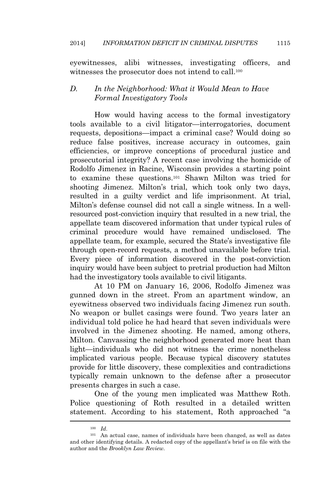eyewitnesses, alibi witnesses, investigating officers, and witnesses the prosecutor does not intend to call.<sup>100</sup>

# *D. In the Neighborhood: What it Would Mean to Have Formal Investigatory Tools*

How would having access to the formal investigatory tools available to a civil litigator—interrogatories, document requests, depositions—impact a criminal case? Would doing so reduce false positives, increase accuracy in outcomes, gain efficiencies, or improve conceptions of procedural justice and prosecutorial integrity? A recent case involving the homicide of Rodolfo Jimenez in Racine, Wisconsin provides a starting point to examine these questions.<sup>101</sup> Shawn Milton was tried for shooting Jimenez. Milton's trial, which took only two days, resulted in a guilty verdict and life imprisonment. At trial, Milton's defense counsel did not call a single witness. In a wellresourced post-conviction inquiry that resulted in a new trial, the appellate team discovered information that under typical rules of criminal procedure would have remained undisclosed. The appellate team, for example, secured the State's investigative file through open-record requests, a method unavailable before trial. Every piece of information discovered in the post-conviction inquiry would have been subject to pretrial production had Milton had the investigatory tools available to civil litigants.

At 10 PM on January 16, 2006, Rodolfo Jimenez was gunned down in the street. From an apartment window, an eyewitness observed two individuals facing Jimenez run south. No weapon or bullet casings were found. Two years later an individual told police he had heard that seven individuals were involved in the Jimenez shooting. He named, among others, Milton. Canvassing the neighborhood generated more heat than light—individuals who did not witness the crime nonetheless implicated various people. Because typical discovery statutes provide for little discovery, these complexities and contradictions typically remain unknown to the defense after a prosecutor presents charges in such a case.

One of the young men implicated was Matthew Roth. Police questioning of Roth resulted in a detailed written statement. According to his statement, Roth approached "a

<sup>100</sup> *Id*.

<sup>101</sup> An actual case, names of individuals have been changed, as well as dates and other identifying details. A redacted copy of the appellant's brief is on file with the author and the *Brooklyn Law Review*.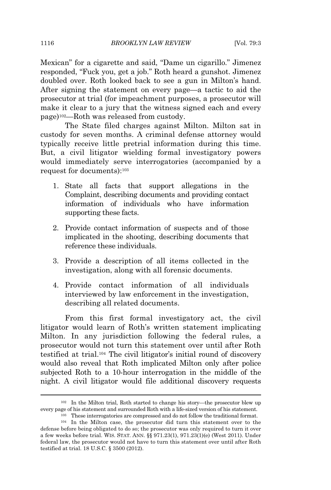Mexican" for a cigarette and said, "Dame un cigarillo." Jimenez responded, "Fuck you, get a job." Roth heard a gunshot. Jimenez doubled over. Roth looked back to see a gun in Milton's hand. After signing the statement on every page—a tactic to aid the prosecutor at trial (for impeachment purposes, a prosecutor will make it clear to a jury that the witness signed each and every page)102—Roth was released from custody.

The State filed charges against Milton. Milton sat in custody for seven months. A criminal defense attorney would typically receive little pretrial information during this time. But, a civil litigator wielding formal investigatory powers would immediately serve interrogatories (accompanied by a request for documents):<sup>103</sup>

- 1. State all facts that support allegations in the Complaint, describing documents and providing contact information of individuals who have information supporting these facts.
- 2. Provide contact information of suspects and of those implicated in the shooting, describing documents that reference these individuals.
- 3. Provide a description of all items collected in the investigation, along with all forensic documents.
- 4. Provide contact information of all individuals interviewed by law enforcement in the investigation, describing all related documents.

From this first formal investigatory act, the civil litigator would learn of Roth's written statement implicating Milton. In any jurisdiction following the federal rules, a prosecutor would not turn this statement over until after Roth testified at trial.<sup>104</sup> The civil litigator's initial round of discovery would also reveal that Roth implicated Milton only after police subjected Roth to a 10-hour interrogation in the middle of the night. A civil litigator would file additional discovery requests

<sup>102</sup> In the Milton trial, Roth started to change his story—the prosecutor blew up every page of his statement and surrounded Roth with a life-sized version of his statement. <sup>103</sup> These interrogatories are compressed and do not follow the traditional format.

<sup>104</sup> In the Milton case, the prosecutor did turn this statement over to the defense before being obligated to do so; the prosecutor was only required to turn it over a few weeks before trial. WIS. STAT. ANN. §§ 971.23(1), 971.23(1)(e) (West 2011). Under federal law, the prosecutor would not have to turn this statement over until after Roth testified at trial. 18 U.S.C. § 3500 (2012).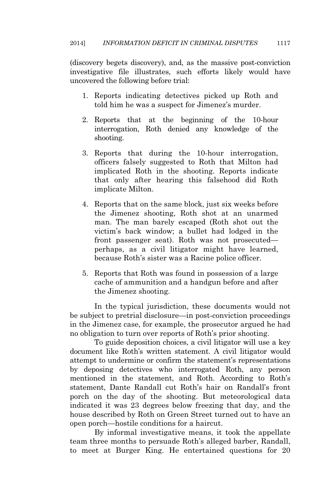(discovery begets discovery), and, as the massive post-conviction investigative file illustrates, such efforts likely would have uncovered the following before trial:

- 1. Reports indicating detectives picked up Roth and told him he was a suspect for Jimenez's murder.
- 2. Reports that at the beginning of the 10-hour interrogation, Roth denied any knowledge of the shooting.
- 3. Reports that during the 10-hour interrogation, officers falsely suggested to Roth that Milton had implicated Roth in the shooting. Reports indicate that only after hearing this falsehood did Roth implicate Milton.
- 4. Reports that on the same block, just six weeks before the Jimenez shooting, Roth shot at an unarmed man. The man barely escaped (Roth shot out the victim's back window; a bullet had lodged in the front passenger seat). Roth was not prosecuted perhaps, as a civil litigator might have learned, because Roth's sister was a Racine police officer.
- 5. Reports that Roth was found in possession of a large cache of ammunition and a handgun before and after the Jimenez shooting.

In the typical jurisdiction, these documents would not be subject to pretrial disclosure—in post-conviction proceedings in the Jimenez case, for example, the prosecutor argued he had no obligation to turn over reports of Roth's prior shooting.

To guide deposition choices, a civil litigator will use a key document like Roth's written statement. A civil litigator would attempt to undermine or confirm the statement's representations by deposing detectives who interrogated Roth, any person mentioned in the statement, and Roth. According to Roth's statement, Dante Randall cut Roth's hair on Randall's front porch on the day of the shooting. But meteorological data indicated it was 23 degrees below freezing that day, and the house described by Roth on Green Street turned out to have an open porch—hostile conditions for a haircut.

By informal investigative means, it took the appellate team three months to persuade Roth's alleged barber, Randall, to meet at Burger King. He entertained questions for 20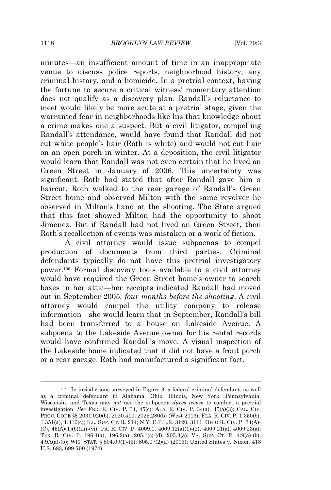minutes—an insufficient amount of time in an inappropriate venue to discuss police reports, neighborhood history, any criminal history, and a homicide. In a pretrial context, having the fortune to secure a critical witness' momentary attention does not qualify as a discovery plan. Randall's reluctance to meet would likely be more acute at a pretrial stage, given the warranted fear in neighborhoods like his that knowledge about a crime makes one a suspect. But a civil litigator, compelling Randall's attendance, would have found that Randall did not cut white people's hair (Roth is white) and would not cut hair on an open porch in winter. At a deposition, the civil litigator would learn that Randall was not even certain that he lived on Green Street in January of 2006. This uncertainty was significant. Roth had stated that after Randall gave him a haircut, Roth walked to the rear garage of Randall's Green Street home and observed Milton with the same revolver he observed in Milton's hand at the shooting. The State argued that this fact showed Milton had the opportunity to shoot Jimenez. But if Randall had not lived on Green Street, then Roth's recollection of events was mistaken or a work of fiction.

A civil attorney would issue subpoenas to compel production of documents from third parties. Criminal defendants typically do not have this pretrial investigatory power.<sup>105</sup> Formal discovery tools available to a civil attorney would have required the Green Street home's owner to search boxes in her attic—her receipts indicated Randall had moved out in September 2005, *four months before the shooting*. A civil attorney would compel the utility company to release information—she would learn that in September, Randall's bill had been transferred to a house on Lakeside Avenue. A subpoena to the Lakeside Avenue owner for his rental records would have confirmed Randall's move. A visual inspection of the Lakeside home indicated that it did not have a front porch or a rear garage. Roth had manufactured a significant fact.

<sup>105</sup> In jurisdictions surveyed in Figure 3, a federal criminal defendant, as well as a criminal defendant in Alabama, Ohio, Illinois, New York, Pennsylvania, Wisconsin, and Texas may *not* use the subpoena *duces tecum* to conduct a pretrial investigation. *See* FED. R. CIV. P. 34, 45(c); ALA. R. CIV. P. 34(a), 45(a)(3); CAL. CIV. PROC. CODE §§ 2031.020(b), 2020.410, 2025.280(b) (West 2013); FLA. R. CIV. P. 1.350(b), 1.351(a), 1.410(c); ILL. SUP. CT. R. 214; N.Y. C.P.L.R. 3120, 3111; OHIO R. CIV. P. 34(A)- (C),  $45(A)(1)(b)(iii)$ -(vi); PA. R. CIV. P.  $4009.1, 4009.12(a)(1)-(2), 4009.21(a), 4009.23(a);$ TEX. R. CIV. P. 196.1(a), 196.2(a), 205.1(c)-(d), 205.3(a); VA. SUP. CT. R. 4:9(a)-(b), 4:9A(a)-(b); WIS. STAT. § 804.09(1)-(3); 805.07(2)(a) (2013); United States v. Nixon, 418 U.S. 683, 699-700 (1974).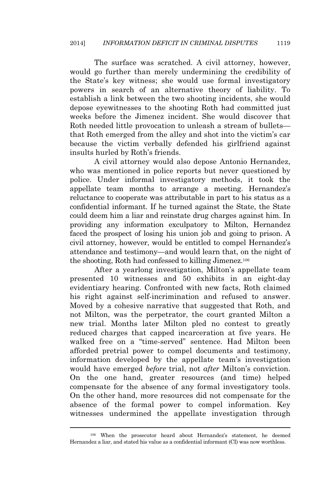The surface was scratched. A civil attorney, however, would go further than merely undermining the credibility of the State's key witness; she would use formal investigatory powers in search of an alternative theory of liability. To establish a link between the two shooting incidents, she would depose eyewitnesses to the shooting Roth had committed just weeks before the Jimenez incident. She would discover that Roth needed little provocation to unleash a stream of bullets that Roth emerged from the alley and shot into the victim's car because the victim verbally defended his girlfriend against insults hurled by Roth's friends.

A civil attorney would also depose Antonio Hernandez, who was mentioned in police reports but never questioned by police. Under informal investigatory methods, it took the appellate team months to arrange a meeting. Hernandez's reluctance to cooperate was attributable in part to his status as a confidential informant. If he turned against the State, the State could deem him a liar and reinstate drug charges against him. In providing any information exculpatory to Milton, Hernandez faced the prospect of losing his union job and going to prison. A civil attorney, however, would be entitled to compel Hernandez's attendance and testimony—and would learn that, on the night of the shooting, Roth had confessed to killing Jimenez.<sup>106</sup>

After a yearlong investigation, Milton's appellate team presented 10 witnesses and 50 exhibits in an eight-day evidentiary hearing. Confronted with new facts, Roth claimed his right against self-incrimination and refused to answer. Moved by a cohesive narrative that suggested that Roth, and not Milton, was the perpetrator, the court granted Milton a new trial. Months later Milton pled no contest to greatly reduced charges that capped incarceration at five years. He walked free on a "time-served" sentence. Had Milton been afforded pretrial power to compel documents and testimony, information developed by the appellate team's investigation would have emerged *before* trial, not *after* Milton's conviction. On the one hand, greater resources (and time) helped compensate for the absence of any formal investigatory tools. On the other hand, more resources did not compensate for the absence of the formal power to compel information. Key witnesses undermined the appellate investigation through

<sup>106</sup> When the prosecutor heard about Hernandez's statement, he deemed Hernandez a liar, and stated his value as a confidential informant (CI) was now worthless.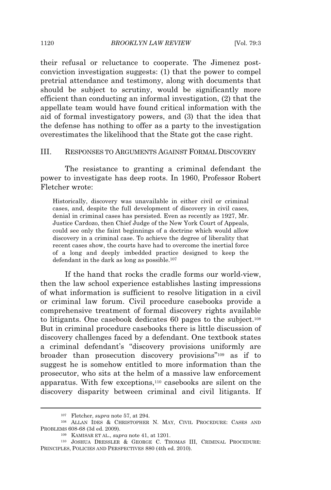their refusal or reluctance to cooperate. The Jimenez postconviction investigation suggests: (1) that the power to compel pretrial attendance and testimony, along with documents that should be subject to scrutiny, would be significantly more efficient than conducting an informal investigation, (2) that the appellate team would have found critical information with the aid of formal investigatory powers, and (3) that the idea that the defense has nothing to offer as a party to the investigation overestimates the likelihood that the State got the case right.

#### III. RESPONSES TO ARGUMENTS AGAINST FORMAL DISCOVERY

The resistance to granting a criminal defendant the power to investigate has deep roots. In 1960, Professor Robert Fletcher wrote:

Historically, discovery was unavailable in either civil or criminal cases, and, despite the full development of discovery in civil cases, denial in criminal cases has persisted. Even as recently as 1927, Mr. Justice Cardozo, then Chief Judge of the New York Court of Appeals, could see only the faint beginnings of a doctrine which would allow discovery in a criminal case. To achieve the degree of liberality that recent cases show, the courts have had to overcome the inertial force of a long and deeply imbedded practice designed to keep the defendant in the dark as long as possible.<sup>107</sup>

If the hand that rocks the cradle forms our world-view, then the law school experience establishes lasting impressions of what information is sufficient to resolve litigation in a civil or criminal law forum. Civil procedure casebooks provide a comprehensive treatment of formal discovery rights available to litigants. One casebook dedicates 60 pages to the subject.<sup>108</sup> But in criminal procedure casebooks there is little discussion of discovery challenges faced by a defendant. One textbook states a criminal defendant's "discovery provisions uniformly are broader than prosecution discovery provisions" <sup>109</sup> as if to suggest he is somehow entitled to more information than the prosecutor, who sits at the helm of a massive law enforcement apparatus. With few exceptions,<sup>110</sup> casebooks are silent on the discovery disparity between criminal and civil litigants. If

<sup>107</sup> Fletcher, *supra* note 57, at 294.

<sup>108</sup> ALLAN IDES & CHRISTOPHER N. MAY, CIVIL PROCEDURE: CASES AND PROBLEMS 608-68 (3d ed. 2009).

<sup>109</sup> KAMISAR ET AL., *supra* note 41, at 1201.

<sup>110</sup> JOSHUA DRESSLER & GEORGE C. THOMAS III, CRIMINAL PROCEDURE: PRINCIPLES, POLICIES AND PERSPECTIVES 880 (4th ed. 2010).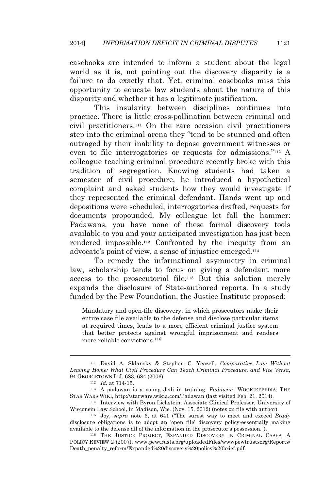casebooks are intended to inform a student about the legal world as it is, not pointing out the discovery disparity is a failure to do exactly that. Yet, criminal casebooks miss this opportunity to educate law students about the nature of this disparity and whether it has a legitimate justification.

This insularity between disciplines continues into practice. There is little cross-pollination between criminal and civil practitioners.<sup>111</sup> On the rare occasion civil practitioners step into the criminal arena they "tend to be stunned and often outraged by their inability to depose government witnesses or even to file interrogatories or requests for admissions." <sup>112</sup> A colleague teaching criminal procedure recently broke with this tradition of segregation. Knowing students had taken a semester of civil procedure, he introduced a hypothetical complaint and asked students how they would investigate if they represented the criminal defendant. Hands went up and depositions were scheduled, interrogatories drafted, requests for documents propounded. My colleague let fall the hammer: Padawans, you have none of these formal discovery tools available to you and your anticipated investigation has just been rendered impossible.<sup>113</sup> Confronted by the inequity from an advocate's point of view, a sense of injustice emerged.<sup>114</sup>

To remedy the informational asymmetry in criminal law, scholarship tends to focus on giving a defendant more access to the prosecutorial file.<sup>115</sup> But this solution merely expands the disclosure of State-authored reports. In a study funded by the Pew Foundation, the Justice Institute proposed:

Mandatory and open-file discovery, in which prosecutors make their entire case file available to the defense and disclose particular items at required times, leads to a more efficient criminal justice system that better protects against wrongful imprisonment and renders more reliable convictions.<sup>116</sup>

<sup>111</sup> David A. Sklansky & Stephen C. Yeazell, *Comparative Law Without Leaving Home: What Civil Procedure Can Teach Criminal Procedure, and Vice Versa*, 94 GEORGETOWN L.J. 683, 684 (2006).

<sup>112</sup> *Id.* at 714-15.

<sup>113</sup> A padawan is a young Jedi in training. *Padawan*, WOOKIEEPEDIA: THE STAR WARS WIKI, http://starwars.wikia.com/Padawan (last visited Feb. 21, 2014).

<sup>114</sup> Interview with Byron Lichstein, Associate Clinical Professor, University of Wisconsin Law School, in Madison, Wis. (Nov. 15, 2012) (notes on file with author).

<sup>115</sup> Joy, *supra* note 6, at 641 ("The surest way to meet and exceed *Brady* disclosure obligations is to adopt an 'open file' discovery policy-essentially making available to the defense all of the information in the prosecutor's possession.").

<sup>116</sup> THE JUSTICE PROJECT, EXPANDED DISCOVERY IN CRIMINAL CASES: A POLICY REVIEW 2 (2007), www.pewtrusts.org/uploadedFiles/wwwpewtrustsorg/Reports/ Death\_penalty\_reform/Expanded%20discovery%20policy%20brief.pdf.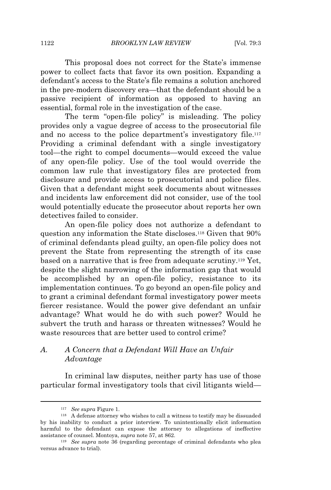This proposal does not correct for the State's immense power to collect facts that favor its own position. Expanding a defendant's access to the State's file remains a solution anchored in the pre-modern discovery era—that the defendant should be a passive recipient of information as opposed to having an essential, formal role in the investigation of the case.

The term "open-file policy" is misleading. The policy provides only a vague degree of access to the prosecutorial file and no access to the police department's investigatory file.<sup>117</sup> Providing a criminal defendant with a single investigatory tool—the right to compel documents—would exceed the value of any open-file policy. Use of the tool would override the common law rule that investigatory files are protected from disclosure and provide access to prosecutorial and police files. Given that a defendant might seek documents about witnesses and incidents law enforcement did not consider, use of the tool would potentially educate the prosecutor about reports her own detectives failed to consider.

An open-file policy does not authorize a defendant to question any information the State discloses.<sup>118</sup> Given that 90% of criminal defendants plead guilty, an open-file policy does not prevent the State from representing the strength of its case based on a narrative that is free from adequate scrutiny.<sup>119</sup> Yet, despite the slight narrowing of the information gap that would be accomplished by an open-file policy, resistance to its implementation continues. To go beyond an open-file policy and to grant a criminal defendant formal investigatory power meets fiercer resistance. Would the power give defendant an unfair advantage? What would he do with such power? Would he subvert the truth and harass or threaten witnesses? Would he waste resources that are better used to control crime?

# *A. A Concern that a Defendant Will Have an Unfair Advantage*

In criminal law disputes, neither party has use of those particular formal investigatory tools that civil litigants wield—

<sup>117</sup> *See supra* Figure 1.

<sup>&</sup>lt;sup>118</sup> A defense attorney who wishes to call a witness to testify may be dissuaded by his inability to conduct a prior interview. To unintentionally elicit information harmful to the defendant can expose the attorney to allegations of ineffective assistance of counsel. Montoya, *supra* note 57, at 862.

<sup>119</sup> *See supra* note 36 (regarding percentage of criminal defendants who plea versus advance to trial).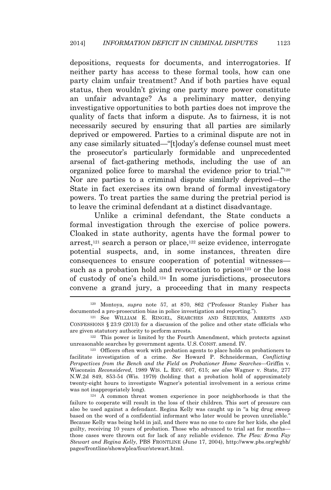depositions, requests for documents, and interrogatories. If neither party has access to these formal tools, how can one party claim unfair treatment? And if both parties have equal status, then wouldn't giving one party more power constitute an unfair advantage? As a preliminary matter, denying investigative opportunities to both parties does not improve the quality of facts that inform a dispute. As to fairness, it is not necessarily secured by ensuring that all parties are similarly deprived or empowered. Parties to a criminal dispute are not in any case similarly situated—"[t]oday's defense counsel must meet the prosecutor's particularly formidable and unprecedented arsenal of fact-gathering methods, including the use of an organized police force to marshal the evidence prior to trial."<sup>120</sup> Nor are parties to a criminal dispute similarly deprived—the State in fact exercises its own brand of formal investigatory powers. To treat parties the same during the pretrial period is to leave the criminal defendant at a distinct disadvantage.

Unlike a criminal defendant, the State conducts a formal investigation through the exercise of police powers. Cloaked in state authority, agents have the formal power to arrest,<sup>121</sup> search a person or place,<sup>122</sup> seize evidence, interrogate potential suspects, and, in some instances, threaten dire consequences to ensure cooperation of potential witnesses such as a probation hold and revocation to prison<sup>123</sup> or the loss of custody of one's child.<sup>124</sup> In some jurisdictions, prosecutors convene a grand jury, a proceeding that in many respects

<sup>120</sup> Montoya, *supra* note 57, at 870, 862 ("Professor Stanley Fisher has documented a pro-prosecution bias in police investigation and reporting.").

<sup>121</sup> See WILLIAM E. RINGEL, SEARCHES AND SEIZURES, ARRESTS AND CONFESSIONS § 23:9 (2013) for a discussion of the police and other state officials who are given statutory authority to perform arrests.

<sup>122</sup> This power is limited by the Fourth Amendment, which protects against unreasonable searches by government agents. U.S. CONST. amend. IV.

<sup>123</sup> Officers often work with probation agents to place holds on probationers to facilitate investigation of a crime. *See* Howard P. Schneiderman, *Conflicting Perspectives from the Bench and the Field on Probationer Home Searches—*Griffin v. Wisconsin *Reconsidered*, 1989 WIS. L. REV. 607, 615; *see also* Wagner v. State, 277 N.W.2d 849, 853-54 (Wis. 1979) (holding that a probation hold of approximately twenty-eight hours to investigate Wagner's potential involvement in a serious crime was not inappropriately long).

<sup>124</sup> A common threat women experience in poor neighborhoods is that the failure to cooperate will result in the loss of their children. This sort of pressure can also be used against a defendant. Regina Kelly was caught up in "a big drug sweep based on the word of a confidential informant who later would be proven unreliable." Because Kelly was being held in jail, and there was no one to care for her kids, she pled guilty, receiving 10 years of probation. Those who advanced to trial sat for months those cases were thrown out for lack of any reliable evidence. *The Plea: Erma Fay Stewart and Regina Kelly*, PBS FRONTLINE (June 17, 2004), http://www.pbs.org/wgbh/ pages/frontline/shows/plea/four/stewart.html.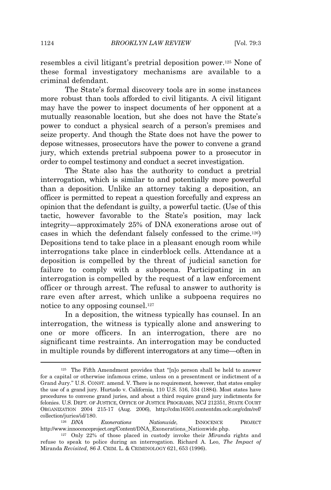resembles a civil litigant's pretrial deposition power.<sup>125</sup> None of these formal investigatory mechanisms are available to a criminal defendant.

The State's formal discovery tools are in some instances more robust than tools afforded to civil litigants. A civil litigant may have the power to inspect documents of her opponent at a mutually reasonable location, but she does not have the State's power to conduct a physical search of a person's premises and seize property. And though the State does not have the power to depose witnesses, prosecutors have the power to convene a grand jury, which extends pretrial subpoena power to a prosecutor in order to compel testimony and conduct a secret investigation.

The State also has the authority to conduct a pretrial interrogation, which is similar to and potentially more powerful than a deposition. Unlike an attorney taking a deposition, an officer is permitted to repeat a question forcefully and express an opinion that the defendant is guilty, a powerful tactic. (Use of this tactic, however favorable to the State's position, may lack integrity—approximately 25% of DNA exonerations arose out of cases in which the defendant falsely confessed to the crime.126) Depositions tend to take place in a pleasant enough room while interrogations take place in cinderblock cells. Attendance at a deposition is compelled by the threat of judicial sanction for failure to comply with a subpoena. Participating in an interrogation is compelled by the request of a law enforcement officer or through arrest. The refusal to answer to authority is rare even after arrest, which unlike a subpoena requires no notice to any opposing counsel.<sup>127</sup>

In a deposition, the witness typically has counsel. In an interrogation, the witness is typically alone and answering to one or more officers. In an interrogation, there are no significant time restraints. An interrogation may be conducted in multiple rounds by different interrogators at any time—often in

<sup>126</sup> *DNA Exonerations Nationwide*, INNOCENCE PROJECT http://www.innocenceproject.org/Content/DNA\_Exonerations\_Nationwide.php.

<sup>125</sup> The Fifth Amendment provides that "[n]o person shall be held to answer for a capital or otherwise infamous crime, unless on a presentment or indictment of a Grand Jury." U.S. CONST. amend. V. There is no requirement, however, that states employ the use of a grand jury. Hurtado v. California, 110 U.S. 516, 534 (1884). Most states have procedures to convene grand juries, and about a third require grand jury indictments for felonies. U.S. DEPT. OF JUSTICE, OFFICE OF JUSTICE PROGRAMS, NCJ 212351, STATE COURT ORGANIZATION 2004 215-17 (Aug. 2006), http://cdm16501.contentdm.oclc.org/cdm/ref/ collection/juries/id/180.

<sup>127</sup> Only 22% of those placed in custody invoke their *Miranda* rights and refuse to speak to police during an interrogation. Richard A. Leo, *The Impact of* Miranda *Revisited*, 86 J. CRIM. L. & CRIMINOLOGY 621, 653 (1996).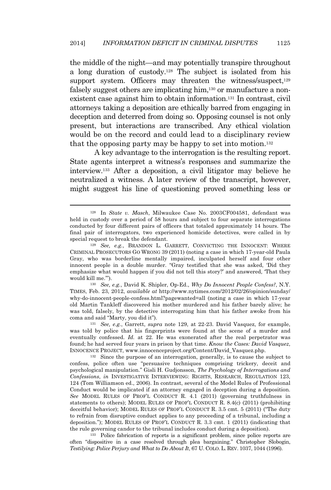the middle of the night—and may potentially transpire throughout a long duration of custody.<sup>128</sup> The subject is isolated from his support system. Officers may threaten the witness/suspect, $129$ falsely suggest others are implicating him,<sup>130</sup> or manufacture a nonexistent case against him to obtain information.<sup>131</sup> In contrast, civil attorneys taking a deposition are ethically barred from engaging in deception and deterred from doing so. Opposing counsel is not only present, but interactions are transcribed. Any ethical violation would be on the record and could lead to a disciplinary review that the opposing party may be happy to set into motion.<sup>132</sup>

A key advantage to the interrogation is the resulting report. State agents interpret a witness's responses and summarize the interview.<sup>133</sup> After a deposition, a civil litigator may believe he neutralized a witness. A later review of the transcript, however, might suggest his line of questioning proved something less or

<sup>130</sup> *See, e.g.*, David K. Shipler, Op-Ed., *Why Do Innocent People Confess?*, N.Y. TIMES, Feb. 23, 2012, *available at* http://www.nytimes.com/2012/02/26/opinion/sunday/ why-do-innocent-people-confess.html?pagewanted=all (noting a case in which 17-year old Martin Tankleff discovered his mother murdered and his father barely alive; he was told, falsely, by the detective interrogating him that his father awoke from his coma and said "Marty, you did it").

<sup>131</sup> *See, e.g.*, Garrett, *supra* note 129, at 22-23. David Vasquez, for example, was told by police that his fingerprints were found at the scene of a murder and eventually confessed. *Id.* at 22. He was exonerated after the real perpetrator was found; he had served four years in prison by that time. *Know the Cases: David Vasquez*, INNOCENCE PROJECT, www.innocenceproject.org/Content/David\_Vasquez.php.

<sup>132</sup> Since the purpose of an interrogation, generally, is to cause the subject to confess, police often use "persuasive techniques comprising trickery, deceit and psychological manipulation." Gisli H. Gudjonsson, *The Psychology of Interrogations and Confessions*, *in* INVESTIGATIVE INTERVIEWING: RIGHTS, RESEARCH, REGULATION 123, 124 (Tom Williamson ed., 2006). In contrast, several of the Model Rules of Professional Conduct would be implicated if an attorney engaged in deception during a deposition. *See* MODEL RULES OF PROF'<sup>L</sup> CONDUCT R. 4.1 (2011) (governing truthfulness in statements to others); MODEL RULES OF PROF'<sup>L</sup> CONDUCT R. 8.4(c) (2011) (prohibiting deceitful behavior); MODEL RULES OF PROF'<sup>L</sup> CONDUCT R. 3.5 cmt. 5 (2011) ("The duty to refrain from disruptive conduct applies to any proceeding of a tribunal, including a deposition."); MODEL RULES OF PROF'<sup>L</sup> CONDUCT R. 3.3 cmt. 1 (2011) (indicating that the rule governing candor to the tribunal includes conduct during a deposition).

<sup>133</sup> Police fabrication of reports is a significant problem, since police reports are often "dispositive in a case resolved through plea bargaining." Christopher Slobogin, *Testilying: Police Perjury and What to Do About It*, 67 U. COLO. L. REV. 1037, 1044 (1996).

<sup>128</sup> In *State v. Masch*, Milwaukee Case No. 2003CF004581, defendant was held in custody over a period of 58 hours and subject to four separate interrogations conducted by four different pairs of officers that totaled approximately 14 hours. The final pair of interrogators, two experienced homicide detectives, were called in by special request to break the defendant.

<sup>129</sup> *See, e.g.*, BRANDON L. GARRETT, CONVICTING THE INNOCENT: WHERE CRIMINAL PROSECUTORS GO WRONG 39 (2011) (noting a case in which 17-year-old Paula Gray, who was borderline mentally impaired, inculpated herself and four other innocent people in a double murder. "Gray testified that she was asked, 'Did they emphasize what would happen if you did not tell this story?' and answered, 'That they would kill me.'").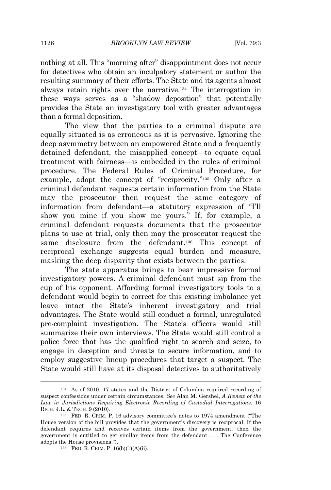nothing at all. This "morning after" disappointment does not occur for detectives who obtain an inculpatory statement or author the resulting summary of their efforts. The State and its agents almost always retain rights over the narrative.<sup>134</sup> The interrogation in these ways serves as a "shadow deposition" that potentially provides the State an investigatory tool with greater advantages than a formal deposition.

The view that the parties to a criminal dispute are equally situated is as erroneous as it is pervasive. Ignoring the deep asymmetry between an empowered State and a frequently detained defendant, the misapplied concept—to equate equal treatment with fairness—is embedded in the rules of criminal procedure. The Federal Rules of Criminal Procedure, for example, adopt the concept of "reciprocity."<sup>135</sup> Only after a criminal defendant requests certain information from the State may the prosecutor then request the same category of information from defendant—a statutory expression of "I'll show you mine if you show me yours." If, for example, a criminal defendant requests documents that the prosecutor plans to use at trial, only then may the prosecutor request the same disclosure from the defendant.<sup>136</sup> This concept of reciprocal exchange suggests equal burden and measure, masking the deep disparity that exists between the parties.

The state apparatus brings to bear impressive formal investigatory powers. A criminal defendant must sip from the cup of his opponent. Affording formal investigatory tools to a defendant would begin to correct for this existing imbalance yet leave intact the State's inherent investigatory and trial advantages. The State would still conduct a formal, unregulated pre-complaint investigation. The State's officers would still summarize their own interviews. The State would still control a police force that has the qualified right to search and seize, to engage in deception and threats to secure information, and to employ suggestive lineup procedures that target a suspect. The State would still have at its disposal detectives to authoritatively

<sup>134</sup> As of 2010, 17 states and the District of Columbia required recording of suspect confessions under certain circumstances. *See* Alan M. Gershel, *A Review of the Law in Jurisdictions Requiring Electronic Recording of Custodial Interrogations*, 16 RICH. J.L. & TECH. 9 (2010).

<sup>135</sup> FED. R. CRIM. P. 16 advisory committee's notes to 1974 amendment ("The House version of the bill provides that the government's discovery is reciprocal. If the defendant requires and receives certain items from the government, then the government is entitled to get similar items from the defendant. . . . The Conference adopts the House provisions.").

<sup>136</sup> FED. R. CRIM. P. 16(b)(1)(A)(ii).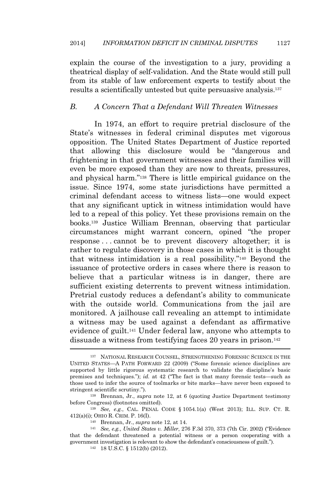explain the course of the investigation to a jury, providing a theatrical display of self-validation. And the State would still pull from its stable of law enforcement experts to testify about the results a scientifically untested but quite persuasive analysis.<sup>137</sup>

#### *B. A Concern That a Defendant Will Threaten Witnesses*

In 1974, an effort to require pretrial disclosure of the State's witnesses in federal criminal disputes met vigorous opposition. The United States Department of Justice reported that allowing this disclosure would be "dangerous and frightening in that government witnesses and their families will even be more exposed than they are now to threats, pressures, and physical harm." <sup>138</sup> There is little empirical guidance on the issue. Since 1974, some state jurisdictions have permitted a criminal defendant access to witness lists—one would expect that any significant uptick in witness intimidation would have led to a repeal of this policy. Yet these provisions remain on the books.<sup>139</sup> Justice William Brennan, observing that particular circumstances might warrant concern, opined "the proper response . . . cannot be to prevent discovery altogether; it is rather to regulate discovery in those cases in which it is thought that witness intimidation is a real possibility." <sup>140</sup> Beyond the issuance of protective orders in cases where there is reason to believe that a particular witness is in danger, there are sufficient existing deterrents to prevent witness intimidation. Pretrial custody reduces a defendant's ability to communicate with the outside world. Communications from the jail are monitored. A jailhouse call revealing an attempt to intimidate a witness may be used against a defendant as affirmative evidence of guilt.<sup>141</sup> Under federal law, anyone who attempts to dissuade a witness from testifying faces 20 years in prison.<sup>142</sup>

<sup>137</sup> NATIONAL RESEARCH COUNSEL, STRENGTHENING FORENSIC SCIENCE IN THE UNITED STATES—A PATH FORWARD 22 (2009) ("Some forensic science disciplines are supported by little rigorous systematic research to validate the discipline's basic premises and techniques."); *id.* at 42 ("The fact is that many forensic tests—such as those used to infer the source of toolmarks or bite marks—have never been exposed to stringent scientific scrutiny.").

<sup>138</sup> Brennan, Jr., *supra* note 12, at 6 (quoting Justice Department testimony before Congress) (footnotes omitted).

<sup>139</sup> *See, e.g.*, CAL. PENAL CODE § 1054.1(a) (West 2013); ILL. SUP. CT. R. 412(a)(i); OHIO R. CRIM. P. 16(I).

<sup>140</sup> Brennan, Jr., *supra* note 12, at 14.

<sup>141</sup> *See, e.g.*, *United States v. Miller*, 276 F.3d 370, 373 (7th Cir. 2002) ("Evidence that the defendant threatened a potential witness or a person cooperating with a government investigation is relevant to show the defendant's consciousness of guilt.").

<sup>142</sup> 18 U.S.C. § 1512(b) (2012).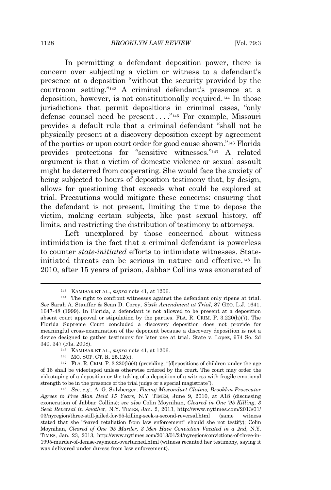In permitting a defendant deposition power, there is concern over subjecting a victim or witness to a defendant's presence at a deposition "without the security provided by the courtroom setting." <sup>143</sup> A criminal defendant's presence at a deposition, however, is not constitutionally required.<sup>144</sup> In those jurisdictions that permit depositions in criminal cases, "only defense counsel need be present . . . . "<sup>145</sup> For example, Missouri provides a default rule that a criminal defendant "shall not be physically present at a discovery deposition except by agreement of the parties or upon court order for good cause shown." <sup>146</sup> Florida provides protections for "sensitive witnesses." <sup>147</sup> A related argument is that a victim of domestic violence or sexual assault might be deterred from cooperating. She would face the anxiety of being subjected to hours of deposition testimony that, by design, allows for questioning that exceeds what could be explored at trial. Precautions would mitigate these concerns: ensuring that the defendant is not present, limiting the time to depose the victim, making certain subjects, like past sexual history, off limits, and restricting the distribution of testimony to attorneys.

Left unexplored by those concerned about witness intimidation is the fact that a criminal defendant is powerless to counter *state-initiated* efforts to intimidate witnesses. Stateinitiated threats can be serious in nature and effective.<sup>148</sup> In 2010, after 15 years of prison, Jabbar Collins was exonerated of

<sup>143</sup> KAMISAR ET AL., *supra* note 41, at 1206.

<sup>144</sup> The right to confront witnesses against the defendant only ripens at trial. *See* Sarah A. Stauffer & Sean D. Corey, *Sixth Amendment at Trial*, 87 GEO. L.J. 1641, 1647-48 (1999). In Florida, a defendant is not allowed to be present at a deposition absent court approval or stipulation by the parties. FLA. R. CRIM. P. 3.220(h)(7). The Florida Supreme Court concluded a discovery deposition does not provide for meaningful cross-examination of the deponent because a discovery deposition is not a device designed to gather testimony for later use at trial. State v. Lopez, 974 So. 2d 340, 347 (Fla. 2008).

<sup>145</sup> KAMISAR ET AL., *supra* note 41, at 1206.

<sup>146</sup> MO. SUP. CT. R. 25.12(c).

<sup>147</sup> FLA. R. CRIM. P. 3.220(h)(4) (providing, "[d]epositions of children under the age of 16 shall be videotaped unless otherwise ordered by the court. The court may order the videotaping of a deposition or the taking of a deposition of a witness with fragile emotional strength to be in the presence of the trial judge or a special magistrate").

<sup>148</sup> *See, e.g.*, A. G. Sulzberger, *Facing Misconduct Claims, Brooklyn Prosecutor Agrees to Free Man Held 15 Years*, N.Y. TIMES, June 9, 2010, at A18 (discussing exoneration of Jabbar Collins); *see also* Colin Moynihan, *Cleared in One '95 Killing, 3 Seek Reversal in Another*, N.Y. TIMES, Jan. 2, 2013, http://www.nytimes.com/2013/01/ 03/nyregion/three-still-jailed-for-95-killing-seek-a-second-reversal.html (same witness stated that she "feared retaliation from law enforcement" should she not testify); Colin Moynihan, *Cleared of One '95 Murder, 3 Men Have Conviction Vacated in a 2nd*, N.Y. TIMES, Jan. 23, 2013, http://www.nytimes.com/2013/01/24/nyregion/convictions-of-three-in-1995-murder-of-denise-raymond-overturned.html (witness recanted her testimony, saying it was delivered under duress from law enforcement).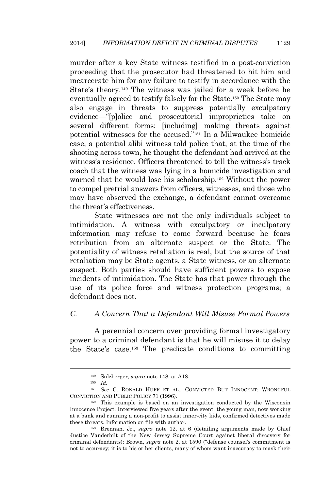murder after a key State witness testified in a post-conviction proceeding that the prosecutor had threatened to hit him and incarcerate him for any failure to testify in accordance with the State's theory.<sup>149</sup> The witness was jailed for a week before he eventually agreed to testify falsely for the State.<sup>150</sup> The State may also engage in threats to suppress potentially exculpatory evidence—"[p]olice and prosecutorial improprieties take on several different forms: [including] making threats against potential witnesses for the accused." <sup>151</sup> In a Milwaukee homicide case, a potential alibi witness told police that, at the time of the shooting across town, he thought the defendant had arrived at the witness's residence. Officers threatened to tell the witness's track coach that the witness was lying in a homicide investigation and warned that he would lose his scholarship.<sup>152</sup> Without the power to compel pretrial answers from officers, witnesses, and those who may have observed the exchange, a defendant cannot overcome the threat's effectiveness.

State witnesses are not the only individuals subject to intimidation. A witness with exculpatory or inculpatory information may refuse to come forward because he fears retribution from an alternate suspect or the State. The potentiality of witness retaliation is real, but the source of that retaliation may be State agents, a State witness, or an alternate suspect. Both parties should have sufficient powers to expose incidents of intimidation. The State has that power through the use of its police force and witness protection programs; a defendant does not.

### *C. A Concern That a Defendant Will Misuse Formal Powers*

A perennial concern over providing formal investigatory power to a criminal defendant is that he will misuse it to delay the State's case.<sup>153</sup> The predicate conditions to committing

<sup>149</sup> Sulzberger, *supra* note 148, at A18.

<sup>150</sup> *Id.*

<sup>151</sup> *See* C. RONALD HUFF ET AL., CONVICTED BUT INNOCENT: WRONGFUL CONVICTION AND PUBLIC POLICY 71 (1996).

<sup>152</sup> This example is based on an investigation conducted by the Wisconsin Innocence Project. Interviewed five years after the event, the young man, now working at a bank and running a non-profit to assist inner-city kids, confirmed detectives made these threats. Information on file with author.

<sup>153</sup> Brennan, Jr., *supra* note 12, at 6 (detailing arguments made by Chief Justice Vanderbilt of the New Jersey Supreme Court against liberal discovery for criminal defendants); Brown, *supra* note 2, at 1590 ("defense counsel's commitment is not to accuracy; it is to his or her clients, many of whom want inaccuracy to mask their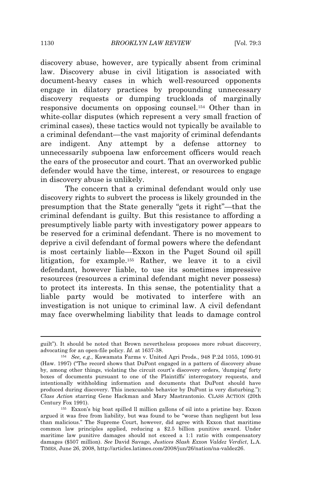discovery abuse, however, are typically absent from criminal law. Discovery abuse in civil litigation is associated with document-heavy cases in which well-resourced opponents engage in dilatory practices by propounding unnecessary discovery requests or dumping truckloads of marginally responsive documents on opposing counsel.<sup>154</sup> Other than in white-collar disputes (which represent a very small fraction of criminal cases), these tactics would not typically be available to a criminal defendant—the vast majority of criminal defendants are indigent. Any attempt by a defense attorney to unnecessarily subpoena law enforcement officers would reach the ears of the prosecutor and court. That an overworked public defender would have the time, interest, or resources to engage in discovery abuse is unlikely.

The concern that a criminal defendant would only use discovery rights to subvert the process is likely grounded in the presumption that the State generally "gets it right"—that the criminal defendant is guilty. But this resistance to affording a presumptively liable party with investigatory power appears to be reserved for a criminal defendant. There is no movement to deprive a civil defendant of formal powers where the defendant is most certainly liable—Exxon in the Puget Sound oil spill litigation, for example.<sup>155</sup> Rather, we leave it to a civil defendant, however liable, to use its sometimes impressive resources (resources a criminal defendant might never possess) to protect its interests. In this sense, the potentiality that a liable party would be motivated to interfere with an investigation is not unique to criminal law. A civil defendant may face overwhelming liability that leads to damage control

guilt"). It should be noted that Brown nevertheless proposes more robust discovery, advocating for an open-file policy. *Id.* at 1637-38.

<sup>154</sup> *See, e.g.*, Kawamata Farms v. United Agri Prods., 948 P.2d 1055, 1090-91 (Haw. 1997) ("The record shows that DuPont engaged in a pattern of discovery abuse by, among other things, violating the circuit court's discovery orders, 'dumping' forty boxes of documents pursuant to one of the Plaintiffs' interrogatory requests, and intentionally withholding information and documents that DuPont should have produced during discovery. This inexcusable behavior by DuPont is very disturbing."); *Class Action* starring Gene Hackman and Mary Mastrantonio. CLASS ACTION (20th Century Fox 1991).

<sup>155</sup> Exxon's big boat spilled ll million gallons of oil into a pristine bay. Exxon argued it was free from liability, but was found to be "worse than negligent but less than malicious." The Supreme Court, however, did agree with Exxon that maritime common law principles applied, reducing a \$2.5 billion punitive award. Under maritime law punitive damages should not exceed a 1:1 ratio with compensatory damages (\$507 million). *See* David Savage, *Justices Slash Exxon Valdez Verdict*, L.A. TIMES, June 26, 2008, http://articles.latimes.com/2008/jun/26/nation/na-valdez26.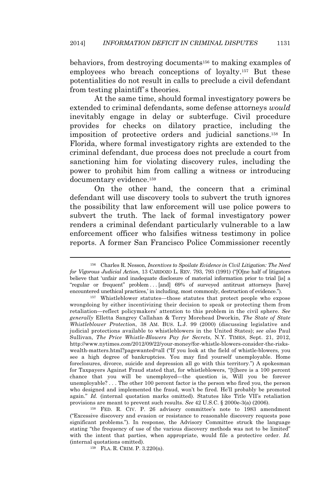behaviors, from destroying documents<sup>156</sup> to making examples of employees who breach conceptions of loyalty.<sup>157</sup> But these potentialities do not result in calls to preclude a civil defendant from testing plaintiff's theories.

At the same time, should formal investigatory powers be extended to criminal defendants, some defense attorneys *would* inevitably engage in delay or subterfuge. Civil procedure provides for checks on dilatory practice, including the imposition of protective orders and judicial sanctions.<sup>158</sup> In Florida, where formal investigatory rights are extended to the criminal defendant, due process does not preclude a court from sanctioning him for violating discovery rules, including the power to prohibit him from calling a witness or introducing documentary evidence.<sup>159</sup>

On the other hand, the concern that a criminal defendant will use discovery tools to subvert the truth ignores the possibility that law enforcement will use police powers to subvert the truth. The lack of formal investigatory power renders a criminal defendant particularly vulnerable to a law enforcement officer who falsifies witness testimony in police reports. A former San Francisco Police Commissioner recently

<sup>156</sup> Charles R. Nesson, *Incentives to Spoilate Evidence in Civil Litigation: The Need for Vigorous Judicial Action*, 13 CARDOZO L. REV. 793, 793 (1991) ("[O]ne half of litigators believe that 'unfair and inadequate disclosure of material information prior to trial [is] a "regular or frequent" problem . . . [and] 69% of surveyed antitrust attorneys [have] encountered unethical practices,' in including, most commonly, destruction of evidence.").

<sup>157</sup> Whistleblower statutes—those statutes that protect people who expose wrongdoing by either incentivizing their decision to speak or protecting them from retaliation—reflect policymakers' attention to this problem in the civil sphere. *See generally* Elletta Sangrey Callahan & Terry Morehead Dworkin, *The State of State Whistleblower Protection*, 38 AM. BUS. L.J. 99 (2000) (discussing legislative and judicial protections available to whistleblowers in the United States); *see also* Paul Sullivan, *The Price Whistle-Blowers Pay for Secrets*, N.Y. TIMES, Sept. 21, 2012, http://www.nytimes.com/2012/09/22/your-money/for-whistle-blowers-consider-the-riskswealth-matters.html?pagewanted=all ("If you look at the field of whistle-blowers, you see a high degree of bankruptcies. You may find yourself unemployable. Home foreclosures, divorce, suicide and depression all go with this territory.") A spokesman for Taxpayers Against Fraud stated that, for whistleblowers, "[t]here is a 100 percent chance that you will be unemployed—the question is, Will you be forever unemployable? . . . The other 100 percent factor is the person who fired you, the person who designed and implemented the fraud, won't be fired. He'll probably be promoted again." *Id.* (internal quotation marks omitted). Statutes like Title VII's retaliation provisions are meant to prevent such results. *See* 42 U.S.C. § 2000e-3(a) (2006).

<sup>158</sup> FED. R. CIV. P. 26 advisory committee's note to 1983 amendment ("Excessive discovery and evasion or resistance to reasonable discovery requests pose significant problems."). In response, the Advisory Committee struck the language stating "the frequency of use of the various discovery methods was not to be limited" with the intent that parties, when appropriate, would file a protective order. *Id.* (internal quotations omitted).

<sup>159</sup> FLA. R. CRIM. P. 3.220(n).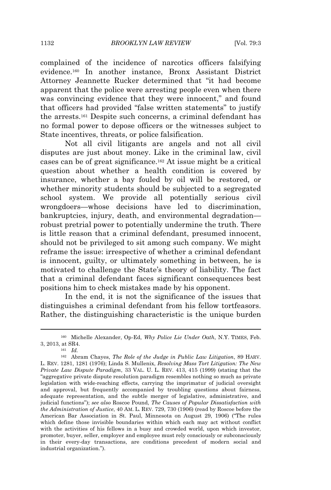complained of the incidence of narcotics officers falsifying evidence.<sup>160</sup> In another instance, Bronx Assistant District Attorney Jeannette Rucker determined that "it had become apparent that the police were arresting people even when there was convincing evidence that they were innocent," and found that officers had provided "false written statements" to justify the arrests.<sup>161</sup> Despite such concerns, a criminal defendant has no formal power to depose officers or the witnesses subject to State incentives, threats, or police falsification.

Not all civil litigants are angels and not all civil disputes are just about money. Like in the criminal law, civil cases can be of great significance.<sup>162</sup> At issue might be a critical question about whether a health condition is covered by insurance, whether a bay fouled by oil will be restored, or whether minority students should be subjected to a segregated school system. We provide all potentially serious civil wrongdoers—whose decisions have led to discrimination, bankruptcies, injury, death, and environmental degradation robust pretrial power to potentially undermine the truth. There is little reason that a criminal defendant, presumed innocent, should not be privileged to sit among such company. We might reframe the issue: irrespective of whether a criminal defendant is innocent, guilty, or ultimately something in between, he is motivated to challenge the State's theory of liability. The fact that a criminal defendant faces significant consequences best positions him to check mistakes made by his opponent.

In the end, it is not the significance of the issues that distinguishes a criminal defendant from his fellow tortfeasors. Rather, the distinguishing characteristic is the unique burden

<sup>160</sup> Michelle Alexander, Op-Ed, *Why Police Lie Under Oath*, N.Y. TIMES, Feb. 3, 2013, at SR4.

<sup>161</sup> *Id.*

<sup>162</sup> Abram Chayes, *The Role of the Judge in Public Law Litigation*, 89 HARV. L. REV. 1281, 1281 (1976); Linda S. Mullenix, *Resolving Mass Tort Litigation: The New Private Law Dispute Paradigm*, 33 VAL. U. L. REV. 413, 415 (1999) (stating that the "aggregative private dispute resolution paradigm resembles nothing so much as private legislation with wide-reaching effects, carrying the imprimatur of judicial oversight and approval, but frequently accompanied by troubling questions about fairness, adequate representation, and the subtle merger of legislative, administrative, and judicial functions"); *see also* Roscoe Pound, *The Causes of Popular Dissatisfaction with the Administration of Justice*, 40 AM. L. REV. 729, 730 (1906) (read by Roscoe before the American Bar Association in St. Paul, Minnesota on August 29, 1906) ("The rules which define those invisible boundaries within which each may act without conflict with the activities of his fellows in a busy and crowded world, upon which investor, promoter, buyer, seller, employer and employee must rely consciously or subconsciously in their every-day transactions, are conditions precedent of modern social and industrial organization.").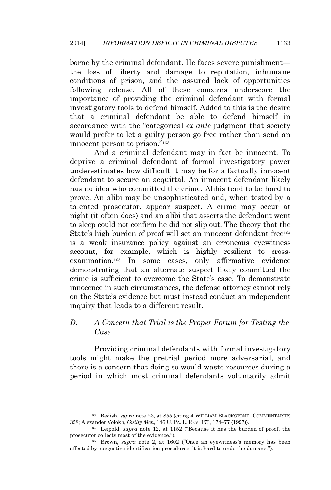borne by the criminal defendant. He faces severe punishment the loss of liberty and damage to reputation, inhumane conditions of prison, and the assured lack of opportunities following release. All of these concerns underscore the importance of providing the criminal defendant with formal investigatory tools to defend himself. Added to this is the desire that a criminal defendant be able to defend himself in accordance with the "categorical *ex ante* judgment that society would prefer to let a guilty person go free rather than send an innocent person to prison." 163

And a criminal defendant may in fact be innocent. To deprive a criminal defendant of formal investigatory power underestimates how difficult it may be for a factually innocent defendant to secure an acquittal. An innocent defendant likely has no idea who committed the crime. Alibis tend to be hard to prove. An alibi may be unsophisticated and, when tested by a talented prosecutor, appear suspect. A crime may occur at night (it often does) and an alibi that asserts the defendant went to sleep could not confirm he did not slip out. The theory that the State's high burden of proof will set an innocent defendant free<sup>164</sup> is a weak insurance policy against an erroneous eyewitness account, for example, which is highly resilient to crossexamination.<sup>165</sup> In some cases, only affirmative evidence demonstrating that an alternate suspect likely committed the crime is sufficient to overcome the State's case. To demonstrate innocence in such circumstances, the defense attorney cannot rely on the State's evidence but must instead conduct an independent inquiry that leads to a different result.

# *D. A Concern that Trial is the Proper Forum for Testing the Case*

Providing criminal defendants with formal investigatory tools might make the pretrial period more adversarial, and there is a concern that doing so would waste resources during a period in which most criminal defendants voluntarily admit

<sup>163</sup> Redish, *supra* note 23, at 855 (citing 4 WILLIAM BLACKSTONE, COMMENTARIES 358; Alexander Volokh, *Guilty Men*, 146 U. PA. L. REV. 173, 174–77 (1997)).

<sup>164</sup> Leipold, *supra* note 12, at 1152 ("Because it has the burden of proof, the prosecutor collects most of the evidence.").

<sup>&</sup>lt;sup>165</sup> Brown, *supra* note 2, at 1602 ("Once an eyewitness's memory has been affected by suggestive identification procedures, it is hard to undo the damage.").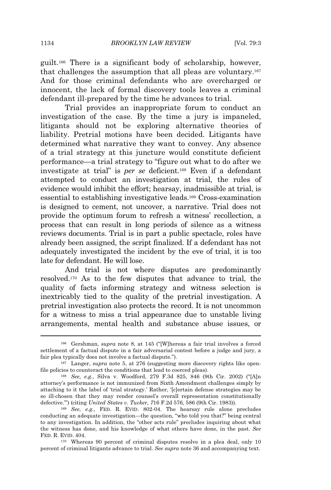guilt.<sup>166</sup> There is a significant body of scholarship, however, that challenges the assumption that all pleas are voluntary.<sup>167</sup> And for those criminal defendants who are overcharged or innocent, the lack of formal discovery tools leaves a criminal defendant ill-prepared by the time he advances to trial.

Trial provides an inappropriate forum to conduct an investigation of the case. By the time a jury is impaneled, litigants should not be exploring alternative theories of liability. Pretrial motions have been decided. Litigants have determined what narrative they want to convey. Any absence of a trial strategy at this juncture would constitute deficient performance—a trial strategy to "figure out what to do after we investigate at trial" is *per se* deficient.<sup>168</sup> Even if a defendant attempted to conduct an investigation at trial, the rules of evidence would inhibit the effort; hearsay, inadmissible at trial, is essential to establishing investigative leads.<sup>169</sup> Cross-examination is designed to cement, not uncover, a narrative. Trial does not provide the optimum forum to refresh a witness' recollection, a process that can result in long periods of silence as a witness reviews documents. Trial is in part a public spectacle, roles have already been assigned, the script finalized. If a defendant has not adequately investigated the incident by the eve of trial, it is too late for defendant. He will lose.

And trial is not where disputes are predominantly resolved.<sup>170</sup> As to the few disputes that advance to trial, the quality of facts informing strategy and witness selection is inextricably tied to the quality of the pretrial investigation. A pretrial investigation also protects the record. It is not uncommon for a witness to miss a trial appearance due to unstable living arrangements, mental health and substance abuse issues, or

<sup>166</sup> Gershman, *supra* note 8, at 145 ("[W]hereas a fair trial involves a forced settlement of a factual dispute in a fair adversarial contest before a judge and jury, a fair plea typically does not involve a factual dispute.").

<sup>167</sup> Langer, *supra* note 5, at 276 (suggesting more discovery rights like openfile policies to counteract the conditions that lead to coerced pleas).

<sup>168</sup> *See, e.g.*, Silva v. Woodford, 279 F.3d 825, 846 (9th Cir. 2002) ("[A]n attorney's performance is not immunized from Sixth Amendment challenges simply by attaching to it the label of 'trial strategy.' Rather, '[c]ertain defense strategies may be so ill-chosen that they may render counsel's overall representation constitutionally defective.'") (citing *United States v. Tucker, 7*16 F.2d 576, 586 (9th Cir. 1983)).

<sup>169</sup> *See, e.g*., FED. R. EVID. 802-04. The hearsay rule alone precludes conducting an adequate investigation—the question, "who told you that?" being central to any investigation. In addition, the "other acts rule" precludes inquiring about what the witness has done, and his knowledge of what others have done, in the past. *See* FED. R. EVID. 404.

<sup>170</sup> Whereas 90 percent of criminal disputes resolve in a plea deal, only 10 percent of criminal litigants advance to trial. *See supra* note 36 and accompanying text.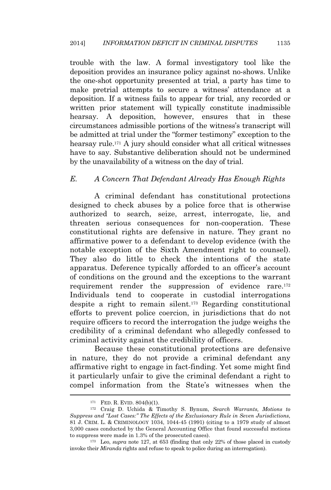trouble with the law. A formal investigatory tool like the deposition provides an insurance policy against no-shows. Unlike the one-shot opportunity presented at trial, a party has time to make pretrial attempts to secure a witness' attendance at a deposition. If a witness fails to appear for trial, any recorded or written prior statement will typically constitute inadmissible hearsay. A deposition, however, ensures that in these circumstances admissible portions of the witness's transcript will be admitted at trial under the "former testimony" exception to the hearsay rule.<sup>171</sup> A jury should consider what all critical witnesses have to say. Substantive deliberation should not be undermined by the unavailability of a witness on the day of trial.

#### *E. A Concern That Defendant Already Has Enough Rights*

A criminal defendant has constitutional protections designed to check abuses by a police force that is otherwise authorized to search, seize, arrest, interrogate, lie, and threaten serious consequences for non-cooperation. These constitutional rights are defensive in nature. They grant no affirmative power to a defendant to develop evidence (with the notable exception of the Sixth Amendment right to counsel). They also do little to check the intentions of the state apparatus. Deference typically afforded to an officer's account of conditions on the ground and the exceptions to the warrant requirement render the suppression of evidence rare.<sup>172</sup> Individuals tend to cooperate in custodial interrogations despite a right to remain silent.<sup>173</sup> Regarding constitutional efforts to prevent police coercion, in jurisdictions that do not require officers to record the interrogation the judge weighs the credibility of a criminal defendant who allegedly confessed to criminal activity against the credibility of officers.

Because these constitutional protections are defensive in nature, they do not provide a criminal defendant any affirmative right to engage in fact-finding. Yet some might find it particularly unfair to give the criminal defendant a right to compel information from the State's witnesses when the

<sup>171</sup> FED. R. EVID. 804(b)(1).

<sup>172</sup> Craig D. Uchida & Timothy S. Bynum, *Search Warrants, Motions to Suppress and "Lost Cases:" The Effects of the Exclusionary Rule in Seven Jurisdictions*, 81 J. CRIM. L. & CRIMINOLOGY 1034, 1044-45 (1991) (citing to a 1979 study of almost 3,000 cases conducted by the General Accounting Office that found successful motions to suppress were made in 1.3% of the prosecuted cases).

<sup>173</sup> Leo, *supra* note 127, at 653 (finding that only 22% of those placed in custody invoke their *Miranda* rights and refuse to speak to police during an interrogation).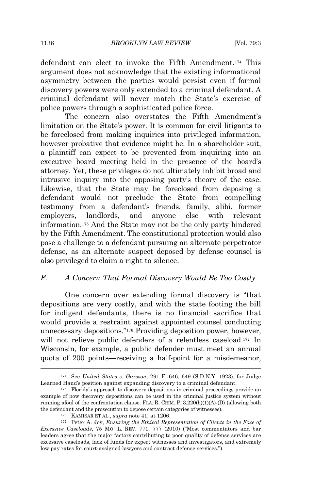defendant can elect to invoke the Fifth Amendment.<sup>174</sup> This argument does not acknowledge that the existing informational asymmetry between the parties would persist even if formal discovery powers were only extended to a criminal defendant. A criminal defendant will never match the State's exercise of police powers through a sophisticated police force.

The concern also overstates the Fifth Amendment's limitation on the State's power. It is common for civil litigants to be foreclosed from making inquiries into privileged information, however probative that evidence might be. In a shareholder suit, a plaintiff can expect to be prevented from inquiring into an executive board meeting held in the presence of the board's attorney. Yet, these privileges do not ultimately inhibit broad and intrusive inquiry into the opposing party's theory of the case. Likewise, that the State may be foreclosed from deposing a defendant would not preclude the State from compelling testimony from a defendant's friends, family, alibi, former employers, landlords, and anyone else with relevant information.<sup>175</sup> And the State may not be the only party hindered by the Fifth Amendment. The constitutional protection would also pose a challenge to a defendant pursuing an alternate perpetrator defense, as an alternate suspect deposed by defense counsel is also privileged to claim a right to silence.

# *F. A Concern That Formal Discovery Would Be Too Costly*

One concern over extending formal discovery is "that depositions are very costly, and with the state footing the bill for indigent defendants, there is no financial sacrifice that would provide a restraint against appointed counsel conducting unnecessary depositions." <sup>176</sup> Providing deposition power, however, will not relieve public defenders of a relentless caseload.<sup>177</sup> In Wisconsin, for example, a public defender must meet an annual quota of 200 points—receiving a half-point for a misdemeanor,

<sup>174</sup> See *United States v. Garsson*, 291 F. 646, 649 (S.D.N.Y. 1923), for Judge Learned Hand's position against expanding discovery to a criminal defendant.

<sup>175</sup> Florida's approach to discovery depositions in criminal proceedings provide an example of how discovery depositions can be used in the criminal justice system without running afoul of the confrontation clause. FLA. R. CRIM. P. 3.220(h)(1)(A)-(D) (allowing both the defendant and the prosecution to depose certain categories of witnesses).

<sup>176</sup> KAMISAR ET AL., *supra* note 41, at 1206.

<sup>177</sup> Peter A. Joy, *Ensuring the Ethical Representation of Clients in the Face of Excessive Caseloads*, 75 MO. L. REV. 771, 777 (2010) ("Most commentators and bar leaders agree that the major factors contributing to poor quality of defense services are excessive caseloads, lack of funds for expert witnesses and investigators, and extremely low pay rates for court-assigned lawyers and contract defense services.").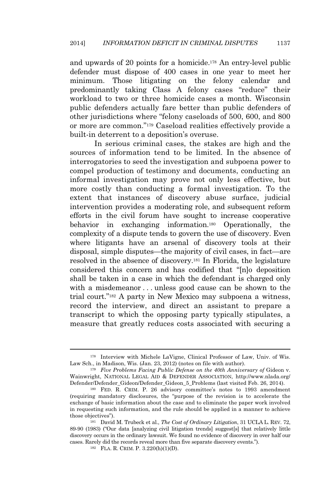and upwards of 20 points for a homicide.<sup>178</sup> An entry-level public defender must dispose of 400 cases in one year to meet her minimum. Those litigating on the felony calendar and predominantly taking Class A felony cases "reduce" their workload to two or three homicide cases a month. Wisconsin public defenders actually fare better than public defenders of other jurisdictions where "felony caseloads of 500, 600, and 800 or more are common." <sup>179</sup> Caseload realities effectively provide a built-in deterrent to a deposition's overuse.

In serious criminal cases, the stakes are high and the sources of information tend to be limited. In the absence of interrogatories to seed the investigation and subpoena power to compel production of testimony and documents, conducting an informal investigation may prove not only less effective, but more costly than conducting a formal investigation. To the extent that instances of discovery abuse surface, judicial intervention provides a moderating role, and subsequent reform efforts in the civil forum have sought to increase cooperative behavior in exchanging information.<sup>180</sup> Operationally, the complexity of a dispute tends to govern the use of discovery. Even where litigants have an arsenal of discovery tools at their disposal, simple disputes—the majority of civil cases, in fact—are resolved in the absence of discovery.<sup>181</sup> In Florida, the legislature considered this concern and has codified that "[n]o deposition shall be taken in a case in which the defendant is charged only with a misdemeanor ... unless good cause can be shown to the trial court." <sup>182</sup> A party in New Mexico may subpoena a witness, record the interview, and direct an assistant to prepare a transcript to which the opposing party typically stipulates, a measure that greatly reduces costs associated with securing a

<sup>178</sup> Interview with Michele LaVigne, Clinical Professor of Law, Univ. of Wis. Law Sch., in Madison, Wis. (Jan. 23, 2012) (notes on file with author).

<sup>179</sup> *Five Problems Facing Public Defense on the 40th Anniversary of* Gideon v. Wainwright, NATIONAL LEGAL AID & DEFENDER ASSOCIATION, http://www.nlada.org/ Defender/Defender\_Gideon/Defender\_Gideon\_5\_Problems (last visited Feb. 26, 2014).

<sup>180</sup> FED. R. CRIM. P. 26 advisory committee's notes to 1993 amendment (requiring mandatory disclosures, the "purpose of the revision is to accelerate the exchange of basic information about the case and to eliminate the paper work involved in requesting such information, and the rule should be applied in a manner to achieve those objectives").

<sup>181</sup> David M. Trubeck et al., *The Cost of Ordinary Litigation*, 31 UCLA L. REV. 72, 89-90 (1983) ("Our data [analyzing civil litigation trends] suggest[s] that relatively little discovery occurs in the ordinary lawsuit. We found no evidence of discovery in over half our cases. Rarely did the records reveal more than five separate discovery events.").

<sup>182</sup> FLA. R. CRIM. P. 3.220(h)(1)(D).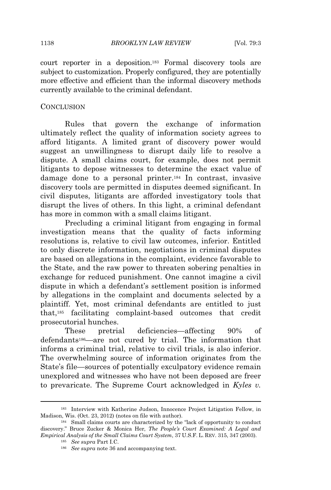court reporter in a deposition.<sup>183</sup> Formal discovery tools are subject to customization. Properly configured, they are potentially more effective and efficient than the informal discovery methods currently available to the criminal defendant.

#### **CONCLUSION**

Rules that govern the exchange of information ultimately reflect the quality of information society agrees to afford litigants. A limited grant of discovery power would suggest an unwillingness to disrupt daily life to resolve a dispute. A small claims court, for example, does not permit litigants to depose witnesses to determine the exact value of damage done to a personal printer.<sup>184</sup> In contrast, invasive discovery tools are permitted in disputes deemed significant. In civil disputes, litigants are afforded investigatory tools that disrupt the lives of others. In this light, a criminal defendant has more in common with a small claims litigant.

Precluding a criminal litigant from engaging in formal investigation means that the quality of facts informing resolutions is, relative to civil law outcomes, inferior. Entitled to only discrete information, negotiations in criminal disputes are based on allegations in the complaint, evidence favorable to the State, and the raw power to threaten sobering penalties in exchange for reduced punishment. One cannot imagine a civil dispute in which a defendant's settlement position is informed by allegations in the complaint and documents selected by a plaintiff. Yet, most criminal defendants are entitled to just that,<sup>185</sup> facilitating complaint-based outcomes that credit prosecutorial hunches.

These pretrial deficiencies—affecting 90% of defendants186—are not cured by trial. The information that informs a criminal trial, relative to civil trials, is also inferior. The overwhelming source of information originates from the State's file—sources of potentially exculpatory evidence remain unexplored and witnesses who have not been deposed are freer to prevaricate. The Supreme Court acknowledged in *Kyles v.*

<sup>183</sup> Interview with Katherine Judson, Innocence Project Litigation Fellow, in Madison, Wis. (Oct. 23, 2012) (notes on file with author).

<sup>184</sup> Small claims courts are characterized by the "lack of opportunity to conduct discovery." Bruce Zucker & Monica Her, *The People's Court Examined: A Legal and Empirical Analysis of the Small Claims Court System*, 37 U.S.F. L. REV. 315, 347 (2003).

<sup>185</sup> *See supra* Part I.C.

<sup>186</sup> *See supra* note 36 and accompanying text.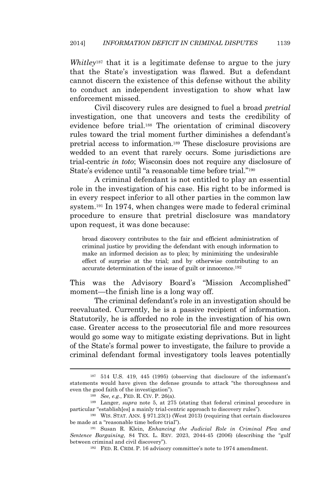*Whitley*<sup>187</sup> that it is a legitimate defense to argue to the jury that the State's investigation was flawed. But a defendant cannot discern the existence of this defense without the ability to conduct an independent investigation to show what law enforcement missed.

Civil discovery rules are designed to fuel a broad *pretrial* investigation, one that uncovers and tests the credibility of evidence before trial.<sup>188</sup> The orientation of criminal discovery rules toward the trial moment further diminishes a defendant's pretrial access to information.<sup>189</sup> These disclosure provisions are wedded to an event that rarely occurs. Some jurisdictions are trial-centric *in toto*; Wisconsin does not require any disclosure of State's evidence until "a reasonable time before trial."<sup>190</sup>

A criminal defendant is not entitled to play an essential role in the investigation of his case. His right to be informed is in every respect inferior to all other parties in the common law system.<sup>191</sup> In 1974, when changes were made to federal criminal procedure to ensure that pretrial disclosure was mandatory upon request, it was done because:

broad discovery contributes to the fair and efficient administration of criminal justice by providing the defendant with enough information to make an informed decision as to plea; by minimizing the undesirable effect of surprise at the trial; and by otherwise contributing to an accurate determination of the issue of guilt or innocence.<sup>192</sup>

This was the Advisory Board's "Mission Accomplished" moment—the finish line is a long way off.

The criminal defendant's role in an investigation should be reevaluated. Currently, he is a passive recipient of information. Statutorily, he is afforded no role in the investigation of his own case. Greater access to the prosecutorial file and more resources would go some way to mitigate existing deprivations. But in light of the State's formal power to investigate, the failure to provide a criminal defendant formal investigatory tools leaves potentially

<sup>187</sup> 514 U.S. 419, 445 (1995) (observing that disclosure of the informant's statements would have given the defense grounds to attack "the thoroughness and even the good faith of the investigation").

<sup>188</sup> *See, e.g.*, FED. R. CIV. P. 26(a).

<sup>189</sup> Langer, *supra* note 5, at 275 (stating that federal criminal procedure in particular "establish[es] a mainly trial-centric approach to discovery rules").

<sup>190</sup> WIS. STAT. ANN. § 971.23(1) (West 2013) (requiring that certain disclosures be made at a "reasonable time before trial").

<sup>191</sup> Susan R. Klein, *Enhancing the Judicial Role in Criminal Plea and Sentence Bargaining*, 84 TEX. L. REV. 2023, 2044-45 (2006) (describing the "gulf between criminal and civil discovery").

<sup>192</sup> FED. R. CRIM. P. 16 advisory committee's note to 1974 amendment.